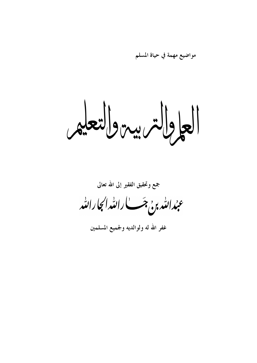مواضيع مهمة في حياة المسلم

العاولاتيريية والتعليم

جمع وتحقيق الفقير إلى الله تعالى

عبدالله م<sub>ونى</sub> جَب الله اى الله المحارالله

غفر الله له ولوالديه ولجميع المسلمين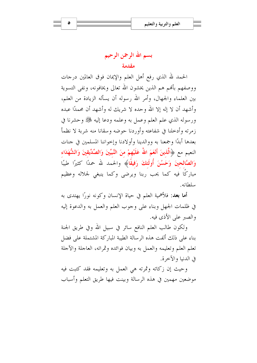الحمد لله الذي رفع أهل العلم والإيمان فوق العالمين درجات ووصفهم بألهم هم الذين يخشون الله تعالى ويخافونه، ونفي التسوية بين العلماء والجهال، وأمر الله رسوله أن يسأله الزيادة من العلم، وأشهد أن لا إله إلا الله وحده لا شريك له وأشهد أن محمدًا عبده ورسوله الذي علم العلم وعمل به وعلمه ودعا إليه ﷺ وحشرنا في زمرته وأدخلنا في شفاعته وأوردنا حوضه وسقانا منه شربة لا نظمأ بعدها أبدًا وجمعنا به ووالدينا وأولادنا وإحواننا المسلمين في جنات النعيم مع ﴿الَّذِينَ أَنْعَمَ اللَّهُ عَلَيْهِمْ منَ النَّبِيِّينَ وَالصِّدِّيقينَ وَالشُّهَدَاءِ وَالصَّالحينَ وَحَسُنَ أُولَئكَ رَفيقًا﴾ والحمد لله حمدًا كثيرًا طيبًا مباركًا فيه كما يحب ربنا ويرضى وكما ينبغي لجلاله وعظيم سلطانه.

**أما بعد**: فلأهمية العلم في حياة الإنسان وكونه نورًا يهتدي به في ظلمات الجهل وبناء على وجوب العلم والعمل به والدعوة إليه والصبر على الأذى فيه.

ولكون طالب العلم النافع سائر في سبيل الله وفي طريق الجنة بناء على ذلك ألفت هذه الرسالة الطيبة المباركة المشتملة على فضل تعلم العلم وتعليمه والعمل به وبيان فوائده وثمراته، العاجلة والآجلة في الدنيا والآخرة.

وحيث إن زكاته وثمرته هي العمل به وتعليمه فقد كتبت فيه موضعين مهمين في هذه الرسالة وبينت فيها طريق التعلم وأسباب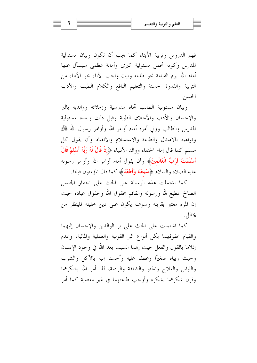فهم الدروس وتربية الأبناء كما يجب أن تكون وبيان مسئولية المدرس وكونه تحمل مسئولية كبرى وأمانة عظمى سيسأل عنها أمام الله يوم القيامة نحو طلبته وبيان واحب الآباء نحو الأبناء من التربية والقدوة الحسنة والتعليم النافع والكلام الطيب والأدب الحسين.

وبيان مسئولية الطالب تجاه مدرسية وزملائه ووالديه بالبر والإحسان والأدب والأحلاق الطيبة وقبل ذلك وبعده مسئولية المدرس والطالب وولى أمره أمام أوامر الله وأوامر رسول الله ﷺ ونواهيه بالامتثال والطاعة والاستسلام والانقياد وأن يقول كل مسلم كما قال إمام الحنفاء ووالد الأنبياء ﴿إِذْ قَالَ لَهُ رَبُّهُ أَسْلَمْ قَالَ أَ**سْلَمْتُ لرَبِّ الْعَالَمينَ**﴾ وأن يقول أمام أوامر الله وأوامر رسوله عليه الصلاة والسلام ﴿سَمِعْنَا وَأَطَعْنَا﴾ كما قال المؤمنون قبلنا.

كما اشتملت هذه الرسالة على الحث على احتيار الجليس الصالح المطيع لله ورسوله والقائم بحقوق الله وحقوق عباده حيث إن المرء معتبر بقرينه وسوف يكون على دين خليله فلينظر من يخالل.

كما اشتملت على الحث على بر الوالدين والإحسان إليهما والقيام بحقوقهما بكل أنواع البر القولية والعملية والمالية، وعدم إذاهما بالقول والفعل حيث إلهما السبب بعد الله في وجود الإنسان وحيث ربياه صغيرًا وعطفا عليه وأحسنا إليه بالأكل والشرب واللباس والعلاج والحنو والشفقة والرحمة، لذا أمر الله بشكرهما وقرن شكرهما بشكره وأوجب طاعتهما في غير معصية كما أمر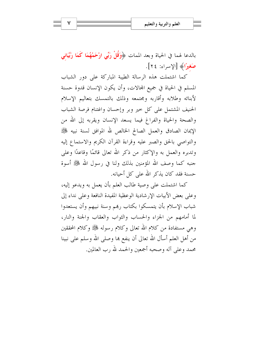بالدعا لهما في الحياة وبعد الممات ﴿وَقُلْ رَبِّي ارْحَمْهُمَا كَمَا رَبَّيَانِي صَغيرًا﴾ [الإسراء: ٢٤].

كما اشتملت هذه الرسالة الطيبة المباركة على دور الشباب المسلم في الحياة في جميع المحالات، وأن يكون الإنسان قدوة حسنة لأبنائه وطلابه وأقاربه ومجتمعه وذلك بالتمسك بتعاليم الإسلام الحنيف المشتمل على كل حير وبر وإحسان واغتنام فرصة الشباب والصحة والحياة والفراغ فيما يسعد الإنسان ويقربه إلى الله من الإيمان الصادق والعمل الصالح الخالص لله الموافق لسنة نبيه ﷺ والتواصي بالحق والصبر عليه وقراءة القرآن الكريم والاستماع إليه وتدبره والعمل به والإكثار من ذكر الله تعالى قائمًا وقاعدًا وعلى حنبه كما وصف الله المؤمنين بذلك ولنا في , سول الله ﷺ أسوة حسنة فقد كان يذكر الله على كل أحيانه.

كما اشتملت على وصية طالب العلم بأن يعمل به ويدعو إليه، وعلى بعض الأبيات الإرشادية الوعظية المفيدة النافعة وعلى نداء إلى شباب الإسلام بأن يتمسكوا بكتاب رهم وسنة نبيهم وأن يستعدوا لما أمامهم من الجزاء والحساب والثواب والعقاب والجنة والنار، وهي مستفادة من كلام الله تعالى وكلام رسوله ﷺ وكلام المحققين من أهل العلم أسأل الله تعالى أن ينفع ها وصلى الله وسلم على نبينا محمد وعلى آله وصحبه أجمعين والحمد لله رب العالمين.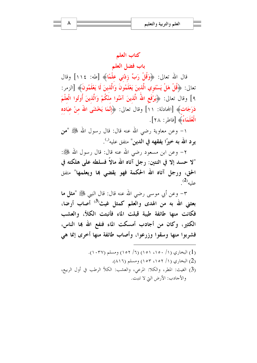## كتاب العلم

باب فضل العلم

قال الله تعالى: ﴿وَقُلْ رَبِّ زِدْنِي عِلْمًا﴾ [طه: ١١٤] وقال تعالى: ﴿قُلْ هَلْ يَسْتَوِي الَّذِينَ يَعْلَمُونَ وَالَّذِينَ لَا يَعْلَمُونَ﴾ [الزمر: ٩] وقال تعالى: ﴿يَوْفَعِ اللَّهُ الَّذِينَ آمَنُوا مِنْكُمْ وَالَّذِينَ أُوتُوا الْعِلْمَ دَرَجَاتٍ﴾ [المحادلة: ١١] وقال تعالى: ﴿إِنَّمَا يَخْشَى اللهُ منْ عَبَادُه الْعُلَمَاءُ﴾ [فاطر: ٢٨].

١– وعن معاوية رضي الله عنه قال: قال رسول الله ﷺ "من يود الله به خيرًا يفقهه في الدين" متفق عليه<sup>(</sup><sub>'</sub>).

٢– وعن ابن مسعود رضي الله عنه قال: قال رسول الله ﷺ: "لا حسد إلا في اثنتين: رجل آتاه الله مالاً فسلطه على هلكته في الحق، ورجل آتاه الله الحكمة فهو يقضى بما ويعلمها" متفق  $^{(2)}$ عليه (2)

٣– وعن أبي موسى رضي الله عنه قال: قال النبي ﷺ "مثل ما بعثني الله به من الهدى والعلم كمثل غيث<sup>(3)</sup> أصاب أرضا، فكانت منها طائفة طيبة قبلت الماء فأنبتت الكلأ، والعشب الكثير، وكان من أجادب أمسكت الماء فنفع الله بها الناس، فشربوا منها وسقوا وزرعوا، وأصاب طائفة منها أخرى إنما هي

- (1) البخاري (١/ ١٥٠)، ١٥١) (٦/ ١٥٢) ومسلم (١٠٢٧). (2) البخاري (١/ ١٥٢، ١٥٣) ومسلم (٨١٦).
- (3) الغيث: المطر، والكلا: المرعى، والعشب: الكلأ الرطب في أول الربيع، والأجادب: الأرض التي لا تنبت.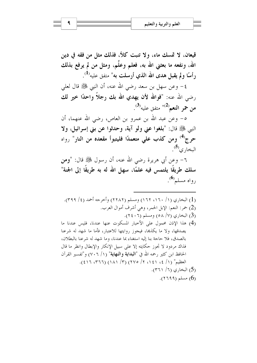قيعان، لا تمسك ماء، ولا تنبت كلأ، فذلك مثل من فقه في دين الله، ونفعه ما بعثني الله به، فعلم وعلَّم، ومثل من لم يرفع بذلك رأسًا ولم يقبل هدى الله الذي أرسلت به" متفق عليه<sup>(1)</sup>.

٤– وعن سهل بن سعد رضي الله عنه، أن النبي ﷺ قال لعلي رضي الله عنه: "فوالله لأن يهدي الله بك رجلاً واحدًا خير لك  $^{(3)}$ من حمر النعم $^{(2)}$ " متفق عليه

٥- وعن عبد الله بن عمرو بن العاص، رضي الله عنهما، أن النبي ﷺ قال: "بلغوا عني ولو آية، وحدثوا عن بني إسرائيل، ولا حرج<sup>(4)</sup> ومن كذب على متعمدًا فليتبوأ مقعده من النار" رواه البخار ي<sup>(5</sup>).

٦– وعن أبي هريرة رضي الله عنه، أن رسول ﷺ قال: "ومن سلك طريقًا يلتمس فيه علمًا، سهل الله له به طريقًا إلى الجنة" رواه مسلم®.

(1) البخاري (١/ ١٦٠، ١٦٢) ومسلم (٢٢٨٢) وأخرجه أحمد (٤/ ٣٩٩). (2) حمر: النعم: الإبل الحمر، وهي أشرف أموال العرب. (3) البخاري (٧/ ٥٨) ومسلم (٢٤٠٦). (4) هذا الإذن محمول على الأخبار المسكوت عنها عندنا، فليس عندنا ما يصدقها، ولا ما يكذها، فيجوز روايتها للاعتبار، فأما ما شهد له شرعنا بالصدق، فلا حاجة بنا إليه استغناء بما عندنا، وما شهد له شرعنا بالبطلان، فذاك مردود لا تجوز حكايته إلا على سبيل الإنكار والإبطال وانظر ما قال الحافظ ابن كثير رحمه الله في "**البداية والنهاية**" (١/ ٧٠٦) و"تفسير القرآن العظيم" (١/ ٤، ١٤١، ٢/ ٢٧٥) (٣/ ١٨١) (٢٦٦، ١٤١٦). (5) البخاري (٦/ ٣٦١). . (٢٦٩٩) مسلم (٢٦٩٩).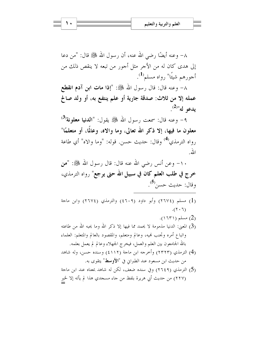٨– وعنه أيضًا رضي الله عنه، أن رسول الله ﷺ قال: "من دعا إلى هدى كان له من الأجر مثل أجور من تبعه لا ينقص ذلك من أجورهم شيئًا" رواه مسلم<sup>(1</sup>).

٨– وعنه قال: قال رسول الله ﷺ: "إذا مات ابن آدم انقطع عمله إلا من ثلاث: صدقة جارية أو علم ينتفع به، أو ولد صالح  $^{(2)}$ يدعو له"(2)

٩- وعنه قال: سمعت رسول الله ﷺ يقول: "**الدنيا معلونة<sup>(3)</sup>** معلون ما فيها، إلا ذكر الله تعالى، وما والاه، وعالَما، أو متعلمًا" , واه الترمذي<sup>(4)</sup> وقال: حديث حسن. قوله: "وما والاه" أي طاعة الله

١٠– وعن أنس رضي الله عنه قال: قال رسول الله ﷺ: "من خرج في طلب العلم كان في سبيل الله حتى يرجع" رواه الترمذي، وقال: حديث حسن<sup>(5</sup>).

- (1) مسلم (٢٦٧٤) وأبو داود (٤٦٠٩) والترمذي (٢٦٧٤) وابن ماجة  $(7 \cdot 7)$ .
	- .(١٦٣١) مسلم (١٦٣١).
- (3) المعيٰ: الدنيا مذمومة لا يحمد مما فيها إلا ذكر الله وما يحبه الله من طاعته واتباع أمره وتحنب فميه، وعالم ومتعلم، والمقصود بالعالم والمتعلم: العلماء بالله الجامعون بين العلم والعمل، فيخرج الجهلاء وعالم لم يعمل بعلمه.
- (4) الترمذي (٢٣٢٣) وأخرجه ابن ماجة (٤١١٢) وسنده حسن، وله شاهد من حديث ابن مسعود عند الطبراني في "ا**لأوسط**" يتقوى به.
- (5) الترمذي (٢٦٤٩) وفي سنده ضعف، لكن له شاهد بمعناه عند ابن ماجة (٢٢٧) من حديث أبي هريرة بلفظ من جاء مسجدي هذا لم يأته إلا لخير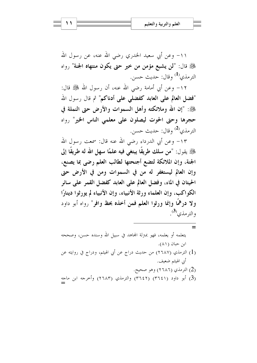١١- وعن أبي سعيد الخدري رضي الله عنه، عن رسول الله ﷺ قال: "لن يشبع مؤمن من خيرٍ حتى يكون منتهاه الجنة" رواه الترمذي<sup>(1)</sup> وقال: حديث حسن.

١٢– وعن أبي أمامة رضي الله عنه، أن رسول الله ﷺ قال: "فضل العالم على العابد كفضلي على أدناكم" ثم قال رسول الله ﷺ: "إن الله وملائكته وأهل السموات والأرض حتى النملة في حجرها وحتى الحوت ليصلون على معلمي الناس الخير" رواه الترمذي<sup>(2)</sup> وقال: حديث حسن.

١٣– وعن أبي الدرداء رضي الله عنه قال: سمعت رسول الله عِنَّكَ يقول: "من سلك طريقًا يبتغي فيه علمًا سهل الله له طريقًا إلى الجنة، وإن الملائكة لتضع أجنحتها لطالب العلم رضي بما يصنع، وإن العالم ليستغفر له من في السموات ومن في الأرض حتى الحيتان في الماء، وفضل العالم على العابد كفضل القمر على سائر الكواكب، وإن العلماء ورثة الأنبياء، وإن الأنبياء لم يورثوا دينارًا ولا درهمًا وإنما ورثوا العلم فمن أخذه بحظ وافر" رواه أبو داود والترمذي<sup>(3</sup>).

يتعلمه أو يعلمه، فهو بمترلة المحاهد في سبيل الله وسنده حسن، وصححه ابن حبان (٨١). (1) الترمذي (٢٦٨٧) من حديث دراج عن أبي الهيثم، ودراج في روايته عن أبي الهيثم ضعيف. (2) الترمذي (٢٦٨٦) وهو صحيح. (3) أبو داود (٣٦٤١) (٣٦٤٢) والترمذي (٢٦٨٣) وأخرجه ابن ماجه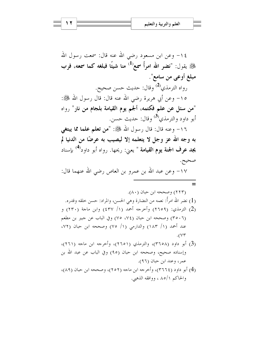١٤– وعن ابن مسعود رضي الله عنه قال: سمعت رسول الله ﷺ يقول: "نضر الله امرأً سمع<sup>(1)</sup> منا شيئًا فبلغه كما سمعه، فرب مبلغ أوعي من سامع". رواه الترمذي<sup>(2)</sup> وقال: حديث حسن صحيح.

١٥– وعن أبي هريرة رضي الله عنه قال: قال رسول الله ﷺ: "من سئل عن علم فكتمه، ألجم يوم القيامة بلجام من نار" رواه أبو داو د والترمذي<sup>(3)</sup> وقال: حديث حسن.

١٦- وعنه قال: قال رسول الله ﷺ: "من تعلم علما مما يبتغي به وجه الله عز وجل لا يتعلمه إلا ليصيب به عرضًا من الدنيا لم **يجد عرف الجنة يوم القيامة** " يعني: ريحها. رواه أبو داود<sup>(4)</sup> بإسناد صحيح. ١٧- وعن عبد الله بن عمرو بن العاص رضي الله عنهما قال:

 $=$ 

(2) الترمذي: (٢٦٥٩) وأخرجه أحمد (١/ ٤٣٧) وابن ماحة (٢٣٠) و

(٣٥٠٦) وصححه ابن حبان (٧٤، ٧٥) وفي الباب عن جبير بن مطعم عند أحمد (١/ ١٨٣) والدارمي (١/ ٧٥) وصححه ابن حبان (٧٢،  $.$  ( $\vee\tau$ 

- (3) أبو داود (٣٦٥٨)، والترمذي (٢٦٥١)، وأُخرجه ابن ماجه (٢٦١)، وإسناده صحيح، وصححه ابن حبان (٩٥) وفي الباب عن عبد الله بن عمر، وعند ابن حبان (٩٦).
- (4) أبو داود (٣٦٦٤)، وأُخرجه ابن ماجه (٢٥٢)، وصححه ابن حبان (٨٩)، والحاكم ٨٥/١ ، ووافقه الذهبي.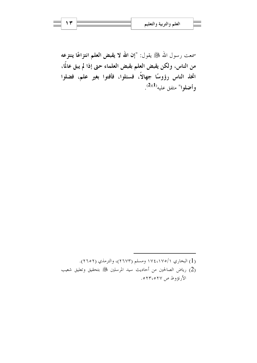سمعت رسول الله ﷺ يقول: "إن الله لا يقبض العلم انتزاعًا ينتزعه من الناس، ولكن يقبض العلم بقبض العلماء حتى إذا لم يبق عالمًا، اتخذ الناس رؤوسًا جهالاً، فسئلوا، فأفتوا بغير علم، فضلوا وأضلوا" متفق عليه<sup>(2</sup>).

- (1) البخاري ١٧٤،١٧٥/١) ومسلم (٢٦٧٣)، والترمذي (٢٦٥٢).
- رياض الصالحين من أحاديث سيد المرسلين ﷺ بتحقيق وتعليق شعيب الأرنؤوط ص ٢٢،٥٢٧ه.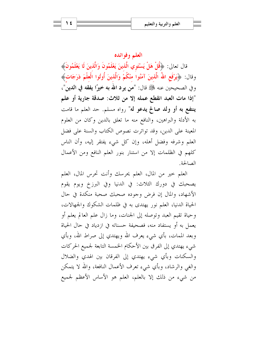#### العلم وفوائده

قال تعالى: ﴿قُلْ هَلْ يَسْتَوِي الَّذِينَ يَعْلَمُونَ وَالَّذِينَ لَا يَعْلَمُونَ﴾ وقال: ﴿يَوْفَعِ اللَّهُ الَّذِينَ آمَنُوا مِنْكُمْ وَالَّذِينَ أُوتُوا الْعِلْمَ دَرَجَاتٍ﴾ وفي الصحيحين عنه ﷺ قال: "من يرد الله به خيرًا يفقه في الدين"، "إذا مات العبد انقطع عمله إلا من ثلاث: صدقة جارية أو علم ينتفع به أو ولد صالح يدعو له" رواه مسلم. حد العلم ما قامت به الأدلة والبراهين، والنافع منه ما تعلق بالدين وكان من العلوم المعينة على الدين، وقد تواترت نصوص الكتاب والسنة على فضل العلم وشرفه وفضل أهله، وإن كل شيء يفتقر إليه، وأن الناس كلهم في الظلمات إلا من استنار بنور العلم النافع ومن الأعمال الصالحة

العلم خير من المال، العلم يحرسك وأنت تحرس المال، العلم يصحبك في دورك الثلاث: في الدنيا وفي البرزخ ويوم يقوم الأشهاد، والمال إن فرض وجوده صحبك صحبة منكدة في حال الحياة الدنيا، العلم نور يهتدى به في ظلمات الشكوك والجهالات، وحياة تقيم العبد وتوصله إلى الجنات، وما زال علم العالم يعلم أو يعمل به أو يستفاد منه، فصحيفة حسناته في ازدياد في حال الحياة وبعد الممات، بأي شيء يعرف الله ويهتدي إلى صراط الله، وبأي شيء يهتدي إلى الفرق بين الأحكام الخمسة التابعة لجميع الحركات والسكنات وبأي شيء يهتدي إلى الفرقان بين الهدي والضلال والغي والرشاد، وبأي شيء تعرف الأعمال النافعة، والله لا يتمكن من شيء من ذلك إلا بالعلم، العلم هو الأساس الأعظم لجميع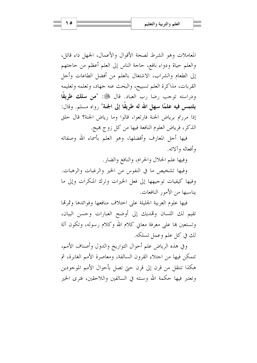المعاملات وهو الشرط لصحة الأقوال والأعمال، الجهل داء قاتل، والعلم حياة ودواء نافع، حاجة الناس إلى العلم أعظم من حاجتهم إلى الطعام والشراب، الاشتغال بالعلم من أفضل الطاعات وأحل القربات، مذاكرة العلم تسبيح، والبحث عنه جهاد، وتعلمه وتعليمه ودراسته توجب رضا رب العباد. قال ﷺ: "من مسلك طريقًا يلتمس فيه علمًا سهل الله له طريقًا إلى الجنة" رواه مسلم. وقال: إذا مررتم برياض الجنة فارتعوا، قالوا وما رياض الجنة؟ قال حلق الذكر، فرياض العلوم النافعة فيها من كل زوج هيج.

فيها أجل المعارف وأفضلها، وهو العلم بأسماء الله وصفاته وأفعاله وآلائه.

وفيها علم الحلال والحرام، والنافع والضار.

وفيها تشخيص ما في النفوس من الخير والرغبات والرهبات. وفيها كيفيات توجيهها إلى فعل الخيرات وترك المنكرات وإلى ما يناسبها من الأمور النافعات.

فيها علوم العربية الجليلة على اختلاف منافعها وفوائدها وثمرتما تقيم لك اللسان وتهديك إلى أوضح العبارات وحسن البيان، وتستعين بما على معرفة معاني كلام الله وكلام رسوله، وتكون آلة لك في كل علم وعمل تسلكه.

وفي هذه الرياض علم أحوال التواريخ والدول وأصناف الأمم، تتمكن فيها من اجتلاء القرون السالفة، ومعاصرة الأمم الغابرة، ثم هكذا تنتقل من قرن إلى قرن حتى تصل بأحوال الأمم الموجودين وتعتبر فيها حكمة الله وسنته في السالفين واللاحقين، فترى الخير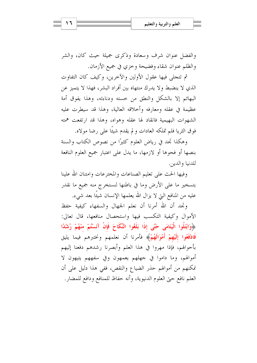والفضل عنوان شرف وسعادة وذكرى جميلة حيث كان، والشر والظلم عنوان شقاء وفضيحة وحزى في جميع الأزمان.

ثم تتجلَّى فيها عقول الأولين والآخرين، وكيف كان التفاوت الذي لا ينضبط ولا يدرك منتهاه بين أفراد البشر، فهذا لا يتميز عن البهائم إلا بالشكل والنطق من حسته ودناءته، وهذا يفوق أمة عظيمة في عقله ومعارفه وأحلاقه العالية، وهذا قد سيطرت عليه الشهوات البهيمية فانقاد لها عقله وهواه، وهذا قد ارتفعت همته فوق الثريا فلم تملكه العادات و لم يقدم شيئًا على رضا مولاه.

وهكذا تجد في رياض العلوم كثيرًا من نصوص الكتاب والسنة بنصها أو فحوها أو لازمها، ما يدل على اعتبار جميع العلوم النافعة للدنيا والدين.

وفيها الحث على تعليم الصناعات والمخترعات وامتنان الله علينا بتسخير ما على الأرض وما في باطنها لنستخرج منه جميع ما نقدر عليه من المنافع التي لا يزال الله يعلمها الإنسان شيئًا بعد شيء.

وتحد أن الله أمرنا أن نعلم الجهال والسفهاء كيفية حفظ الأموال وكيفية التكسب فيها واستحصال منافعها، قال تعالى: ﴿وَابْتَلُوا الْيَتَامَى حَتَّى إِذَا بَلَغُوا النِّكَاحَ فَإِنْ آنَسْتُمْ مِنْهُمْ رُشْدًا فَادْفَعُوا إِلَيْهِمْ أَمْوَالَهُمْ﴾ فأمرنا أن نعلمهم ونختبرهم فيما يليق بأحوالهم، فإذا مهروا في هذا العلم وأبصرنا رشدهم دفعنا إليهم أموالهم، وما داموا في جهلهم يعمهون وفي سفههم يتيهون لا نمكنهم من أموالهم حذر الضياع والنقص، ففي هذا دليل على أن العلم نافع حتى العلوم الدنيوية، وأنه حفاظ للمنافع ودافع للمضار.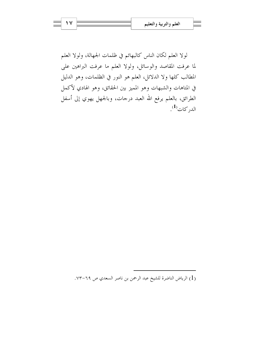لولا العلم لكان الناس كالبهائم في ظلمات الجهالة، ولولا العلم لما عرفت المقاصد والوسائل، ولولا العلم ما عرفت البراهين على المطالب كلها ولا الدلائل، العلم هو النور في الظلمات، وهو الدليل في المتاهات والشبهات وهو المميز بين الحقائق، وهو الهادي لأكمل الطرائق، بالعلم يرفع الله العبد درجات، وبالجهل يهوي إلى أسفل الد<sub>ار</sub> كات<sup>(1)</sup>.

(1) الرياض الناضرة للشيخ عبد الرحمن بن ناصر السعدي ص ٦٩-٧٣.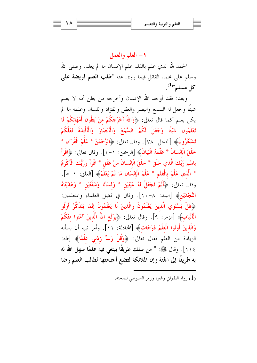## ١- العلم والعمل

الحمد لله الذي علم بالقلم علم الإنسان ما لم يعلم. وصلى الله وسلم على محمد القائل فيما روي عنه "طلب العلم فريضة على  $\mathcal{L}^{(1)}$ كل مسلم"

وبعد: فقد أوجد الله الإنسان وأخرجه من بطن أمه لا يعلم شيئًا وجعل له السمع والبصر والعقل والفؤاد واللسان وعلمه ما لم يكن يعلم كما قال تعالى: ﴿وَاللَّهُ أَخْرَجَكُمْ مِنْ بُطُونٍ أُمَّهَاتِكُمْ لَا تَعْلَمُونَ شَيْئًا وَجَعَلَ لَكُمُ السَّمْعَ وَالْأَبْصَارَ وَالْأَفْئِدَةَ لَعَلَّكُمْ تَشْكُرُونَ﴾ [النحل: ٧٨]. وقال تعالى: ﴿الرَّحْمَنُ \* عَلَّمَ الْقُرْآنَ \* خَلَقَ الْإِنْسَانَ \* عَلَّمَهُ الْبَيَانَ﴾ [الرحمن: ١-٤]. وقال تعالى: ﴿اقْرَأْ باسْمِ رَبِّكَ الَّذي خَلَقَ \* خَلَقَ الْإِنْسَانَ منْ عَلَقٍ \* اقْرَأْ وَرَبُّكَ الْأَكْرَمُ \* الَّذي عَلَّمَ بِالْقَلَمِ \* عَلَّمَ الْإِنْسَانَ مَا لَمْ يَعْلَمْ﴾ [العلق: ١-٥]. وقال تعالى: ﴿أَلَمْ نَجْعَلْ لَهُ عَيْنَيْنِ \* وَلِسَانًا وَشَفَتَيْنِ \* وَهَدَيْنَاهُ النَّجْدَيْنِ﴾ [البلد: ٨–١٠]. وقال في فضل العلماء والمتعلمين: ﴿هَلْ يَسْتَوِي الَّذِينَ يَعْلَمُونَ وَالَّذِينَ لَا يَعْلَمُونَ إِنَّمَا يَتَذَكَّرُ أُولُو الْمَالْبَابِ﴾ [الزمر: ٩]. وقال تعالى: ﴿يَوْفَعِ اللَّهُ الَّذِينَ آمَنُوا منْكُمْ وَالَّذِينَ أُوتُوا الْعِلْمَ دَرَجَاتٍ﴾ [المحادلة: ١١]. وأمرَ نبيه أن يسأله الزيادة من العلم فقال تعالى: ﴿وَقُلْ رَبِّ زِدْنِي عِلْمًا﴾ [طه: ١١٤]. وقال ﷺ: " من سلك طريقًا يبتغي فيه علمًا سهل الله له به طريقًا إلى الجنة وإن الملائكة لتضع أجنحتها لطالب العلم رضا

(1) رواه الطبراني وغيره ورمز السيوطي لصحته.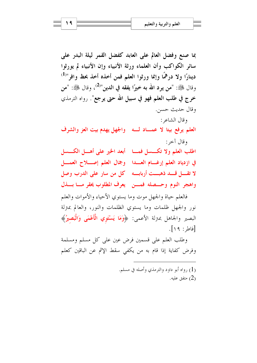بما صنع وفضل العالم على العابد كفضل القمر ليلة البدر على سائر الكواكب وأن العلماء ورثة الأنبياء وإن الأنبياء لم يورثوا دينارًا ولا درهمًا وإنما ورثوا العلم فمن أخذه أخذ بحظ وافر "<sup>(1)</sup> وقال ﷺ: "من يرد الله به خيرًا يفقه في الدين"<sup>(2)</sup>، وقال ﷺ: "من خرج في طلب العلم فهو في سبيل الله حتى يرجع". رواه الترمذي وقال حديث حسن. وقال الشاعر : العلم يرفع بيتا لا عمــاد لــه والجهل يهدم بيت العز والشرف وقال آخر : اطلب العلم ولا تكسسل فمسا أبعد الخير على أهسل الكسسل في ازدياد العلم إرغسام العسدا - وجمال العلم إصلاح العمسل لا تقسل قسد ذهبـــت أربابـــه كل من سار على الدرب وصل واهجر النوم وحسصله فمسن يعرف المطلوب يحقر مسا بسذل فالعلم حياة والجهل موت وما يستوى الأحياء والأموات والعلم

نور والجهل ظلمات وما يستوي الظلمات والنور، والعالم بمترلة البصير والجاهل بمترلة الأعمى: ﴿وَمَا يَسْتَوِي الْأَعْمَى وَالْبَصِيرُ﴾ [فاط: ١٩].

وطلب العلم على قسمين فرض عين على كل مسلم ومسلمة وفرض كفاية إذا قام به من يكفي سقط الإثم عن الباقين كعلم

> (1) , واه أبو داود والترمذي وأصله في مسلم. (2) متفق عليه.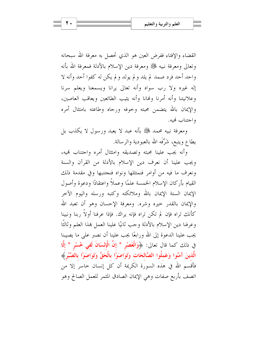القضاء والإفتاء ففرض العين هو الذي تحصل به معرفة الله سبحانه وتعالى ومعرفة نبيه ﷺ ومعرفة دين الإسلام بالأدلة فمعرفة الله بأنه واحد أحد فرد صمد لم يلد و لم يولد و لم يكن له كفوا أحد وأنه لا إله غيره ولا رب سواه وأنه تعالى يرانا ويسمعنا ويعلم سرنا وعلانيتنا وأنه أمرنا ونهانا وأنه يثيب الطائعين ويعاقب العاصين، والإيمان بالله يتضمن محبته وحوفه ورجاه وطاعته بامتثال أمره واجتناب كهبه.

ومعرفة نبيه محمد ﷺ بأنه عبد لا يعبد ورسول لا يكذب بل يطاع ويتبع، شَرَّفَه الله بالعبودية والرسالة.

وأنه يجب علينا محبته وتصديقه وامتثال أمره واحتناب فميه، ويجب علينا أن نعرف دين الإسلام بالأدلة من القرآن والسنة ونعرف ما فيه من أوامر فنمتثلها ونواه فنجتنبها وفي مقدمة ذلك القيام بأركان الإسلام الخمسة علمًا وعملاً واعتقادًا ودعوة وأصول الإيمان الستة الإيمان بالله وملائكته وكتبه ورسله واليوم الآحر والإيمان بالقدر حيره وشره. ومعرفة الإحسان وهو أن تعبد الله كأنك تراه فإن لم تكن تراه فإنه يراك. فإذا عرفنا أولاً ربنا ونبينا وعرفنا دين الإسلام بالأدلة وحب ثانيًا علينا العمل هذا العلم وثالثًا يجب علينا الدعوة إلى الله ورابعًا يجب علينا أن نصبر على ما يصيبنا في ذلك كما قال تعالى: ﴿وَالْعَصْرِ \* إِنَّ الْإِنْسَانَ لَفِي خُسْرٍ \* إِلَّا الَّذينَ آمَنُوا وَعَملُوا الصَّالحَات وَتَوَاصَوْا بِالْحَقِّ وَتَوَاصَوْا بِالصَّبْرِ﴾ فأقسم الله في هذه السورة الكريمة أن كل إنسان حاسر إلا من اتصف بأربع صفات وهي الإيمان الصادق المثمر للعمل الصالح وهو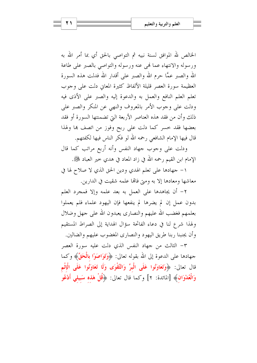الخالص لله الموافق لسنة نبيه ثم التواصي بالحق أي بما أمر الله به ورسوله والانتهاء عما فمى عنه ورسوله والتواصي بالصبر على طاعة الله والصبر عمًّا حرم الله والصبر على أقدار الله فدلت هذه السورة العظيمة سورة العصر قليلة الألفاظ كثيرة المعايي دلت على وحوب تعلَّم العلم النافع والعمل به والدعوة إليه والصبر على الأذى فيه ودلت على وجوب الأمر بالمعروف والنهي عن المنكر والصبر على ذلك وأن من فقد هذه العناصر الأربعة التي تضمنتها السورة أو فقد بعضها فقد حسر كما دلت على ربح وفوز من اتصف ها ولهذا قال فيها الإمام الشافعي رحمه الله لو فكر الناس فيها لكفتهم.

ودلت على وجوب جهاد النفس وأنه أربع مراتب كما قال الإمام ابن القيم رحمه الله في زاد المعاد في هدي حير العباد ﷺ.

١- جهادها على تعلم الهدي ودين الحق الذي لا صلاح لها في معاشها ومعادها إلا به ومتى فالها علمه شقيت في الدارين.

٢- أن يجاهدها على العمل به بعد علمه وإلا فمجرد العلم بدون عمل إن لم يضرها لم ينفعها فإن اليهود علماء فلم يعملوا بعلمهم فغضب الله عليهم والنصارى يعبدون الله على حهل وضلال ولهذا شرع لنا في دعاء الفاتحة سؤال الهداية إلى الصراط المستقيم وأن يجنبنا ربنا طريق اليهود والنصاري المغضوب عليهم والضالين.

٣- الثالث من جهاد النفس الذي دلت عليه سورة العصر جهادها على الدعوة إلى الله بقوله تعالى: ﴿وَتَوَا**صَوْا بِالْحَقِّ﴾** وكما قال تعالى: ﴿وَتَعَاوَنُوا عَلَى الْبِرِّ وَالتَّقْوَى وَلَا تَعَاوَنُوا عَلَى الْإِثْمِ وَالْعُدْوَانِ﴾ [المائدة: ٢] وكما قال تعالى: ﴿قُلْ هَذِه سَبِيلِي أَدْعُو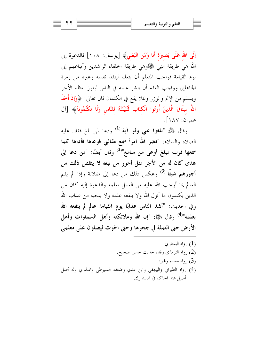إِلَى الله عَلَى بَصيرَة أَنَا وَمَنِ اتَّبَعَنِي﴾ [يوسف: ١٠٨] فالدعوة إلى الله هي طريقة النبي ﷺوهي طريقة الخلفاء الراشدين وأتباعهم إلى يوم القيامة فواجب المتعلم أن يتعلم لينقذ نفسه وغيره من زمرة الجاهلين وواجب العالم أن ينشر علمه في الناس ليفوز بعظم الأجر ويسلم من الإثم والوزر ولئلا يقع في الكتمان قال تعالى: ﴿وَإِذْ أَخَذَ اللَّهُ مِيثَاقَ الَّذِينَ أُوتُوا الْكتَابَ لَتُبَيِّنُنَّهُ للنَّاسِ وَلَا تَكْتُمُونَهُ﴾ [آل عمران: ١٨٧].

وقال ﷺ "**بلغوا عني ولو آية**"<sup>(1)</sup> ودعا لمن بلغ فقال عليه الصلاة والسلام: "نضر الله امرأ سمع مقالتي فوعاها فأداها كما سمعها فرب مبلغ أوعى من سامع"<sup>(2)</sup> وقال أيضًا: "من دعا إلى هدي كان له من الأجر مثل أجورٍ من تبعه لا ينقص ذلك من أجورهم شيئًا"<sup>(3)</sup> وعكس ذلك من دعا إلى ضلالة وإذا لم يقم العالم بما أوجب الله عليه من العمل بعلمه والدعوة إليه كان من الذين يكتمون ما أنزل الله ولا ينفعه علمه ولا ينجيه من عذاب الله وفي الحديث: "أشد الناس عذابًا يوم القيامة عالم لم ينفعه الله بعلمه"<sup>(4)</sup> وقال ﷺ: "إن الله وملائكته وأهل السماوات وأهل الأرض حتى النملة في جحرها وحتى الحوت ليصلون على معلمي

رواه البخا<sub>ر</sub>ی. (1) (2) رواه الترمذي وقال حديث حسن صحيح. (3) رواه مسلم وغیره. (4) رواه الطبراني والبيهقى وابن عدي وضعفه السيوطى والمنذري وله أصل أصيل عند الحاكم في المستدرك.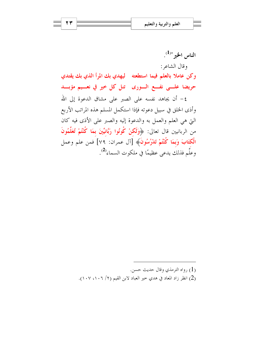الناس الخير "<sup>(1)</sup>. وقال الشاعر : وكن عاملا بالعلم فيما استطعته ليهدي بك المرأ الذي بك يقتدي حريضا علـــى نفـــع الـــورى تنل كل خير في نعـــيم مؤبـــد ٤- أن يجاهد نفسه على الصبر على مشاق الدعوة إلى الله وأذى الخلق في سبيل دعوته فإذا استكمل المسلم هذه المراتب الأربع

التي هي العلم والعمل به والدعوة إليه والصبر على الأذى فيه كان من الربانيين قال تعالى: ﴿وَلَكُنْ كُونُوا رَبَّانِيِّينَ بِمَا كُنْتُمْ تُعَلِّمُونَ الْكَتَابَ وَبِمَا كُنْتُمْ تَدْرُسُونَ﴾ [آل عمران: ٧٩] فمن علم وعمل وعلَّم فذلك يدعى عظيمًا في ملكوت السماء<sup>(2)</sup>.

> (1) , واه الترمذي وقال حديث حسن. (2) انظر زاد المعاد في هدي خير العباد لابن القيم (٢/ ١٠٧، ١٠٧).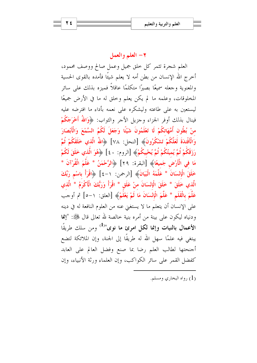## ٢- العلم والعمل

العلم شجرة تثمر كل خلق جميل وعمل صالح ووصف محمود، أخرج الله الإنسان من بطن أمه لا يعلم شيئًا فأمده بالقوى الحسية والمعنوية وجعله سميعًا بصيرًا متكلمًا عاقلاً فميزه بذلك على سائر المخلوقات، وعلمه ما لم يكن يعلم وحلق له ما في الأرض جميعًا ليستعين به على طاعته وليشكره على نعمه بأداء ما افترضه عليه فينال بذلك أوفر الجزاء وحزيل الأحر والثواب: ﴿وَاللَّهُ أَخْرَجَكُمْ منْ بُطُون أُمَّهَاتكُمْ لَا تَعْلَمُونَ شَيْئًا وَجَعَلَ لَكُمُ السَّمْعَ وَالْأَبْصَارَ وَالْأَفْئدَةَ لَعَلَّكُمْ تَشْكُرُونَ﴾ [النحل: ٧٨] ﴿اللَّهُ الَّذي خَلَقَكُمْ ثُمَّ رَزَقَكُمْ ثُمَّ يُميتُكُمْ ثُمَّ يُحْييكُمْ﴾ [الروم: ٤٠] ﴿هُوَ الَّذي خَلَقَ لَكُمْ مَا فِي الْأَرْضِ جَمِيعًا﴾ [البقرة: ٢٩] ﴿الرَّحْمَنُ \* عَلَّمَ الْقُرْآنَ \* خَلَقَ الْإِنْسَانَ \* عَلَّمَهُ الْبَيَانَ﴾ [الرحمن: ١-٤] ﴿اقْرَأْ بِاسْمِ رَبِّكَ الَّذي خَلَقَ \* خَلَقَ الْإِنْسَانَ منْ عَلَقٍ \* اقْرَأْ وَرَبُّكَ الْأَكْرَمُ \* الَّذي عَلَّمَ بِالْقَلَمِ \* عَلَّمَ الْإِنْسَانَ مَا لَمْ يَعْلَمْ﴾ [العلق: ١–٥] ثم أوجب على الإنسان أن يتعلَّم ما لا يستغني عنه من العلوم النافعة له في دينه ودنياه ليكون على بينة من أمره بنية خالصة لله تعالى قال ﷺ: "إنما الأعمال بالنيات وإنما لكل امرئ ما نوى"<sup>(1)</sup> ومن سلك طريقًا يبتغي فيه علمًا سهل الله له طريقًا إلى الجنة، وإن الملائكة لتضع أجنحتها لطالب العلم رضا بما صنع وفضل العالم على العابد كفضل القمر على سائر الكواكب، وإن العلماء ورثة الأنبياء، وإن

(1) , واه البخاري ومسلم.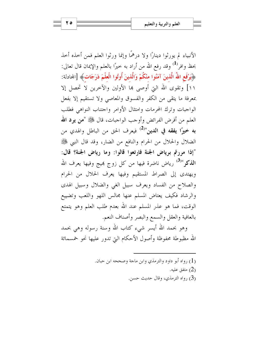الأنبياء لم يورثوا دينارًا ولا درهمًا وإنما ورثوا العلم فمن أحذه أحذ بحظ وافر<sup>(1)</sup> وقد رفع الله من أراد به خيرًا بالعلم والإيمان قال تعالى: ﴿يَرْفَعِ اللَّهُ الَّذِينَ آمَنُوا منْكُمْ وَالَّذِينَ أُوتُوا الْعِلْمَ دَرَجَاتٍ﴾ [المحادلة: ١١] وتقوى الله التي أوصى ها الأولين والآخرين لا تحصل إلا بمعرفة ما يتقى من الكفر والفسوق والمعاصى ولا تستقيم إلا بفعل الواجبات وترك المحرمات وامتثال الأوامر واحتناب النواهي فطلب العلم من أفرض الفرائض وأوجب الواجبات، قال ﷺ "من يود الله به خيرًا يفقه في الدين"<sup>(2)</sup> فيعرف الحق من الباطل والهدي من الضلال والحلال من الحرام والنافع من الضار، وقد قال النبي ﷺ "إذا مررتم برياض الجنة فارتعوا قالوا: وما رياض الجنة؟ قال: ا**لذكر**"<sup>(3)</sup> رياض ناضرة فيها من كل زوج بميج وفيها يعرف الله ويهتدي إلى الصراط المستقيم وفيها يعرف الحلال من الحرام والصلاح من الفساد ويعرف سبيل الغي والضلال وسبيل الهدى والرشاد فكيف يعتاض المسلم عنها مجالس اللهو واللعب وتضييع الوقت، فما هو عذر المسلم عند الله بعدم طلب العلم وهو يتمتع بالعافية والعقل والسمع والبصر وأصناف النعم.

وهو بحمد الله أيسر شيء كتاب الله وسنة رسوله وهي بحمد الله مظبوطة محفوظة وأصول الأحكام البتي تدور عليها نحو خمسمائة

> (1) رواه أبو داود والترمذي وابن ماحة وصححه ابن حبان. متفق عليه. (2) (3) رواه الترمذي، وقال حديث حسن.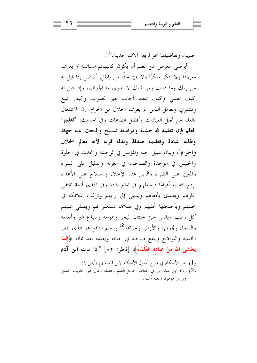27

حديث وتفاصيلها نحو أربعة آلاف حديث<sup>(1</sup>).

أيرضي المعرض عن العلم أن يكون كالبهائم السائمة لا يعرف معروفًا ولا ينكر منكرًا ولا يميز حقًا من باطل، أيرضى إذا قيل له من ربك وما دينك ومن نبيك لا يدري ما الجواب، وإذا قيل له كيف تصلى وكيف تتعبد أجاب بغير الصواب وكيف تبيع وتشتري وتعامل الناس لم يعرف الحلال من الحرام. إن الاشتغال بالعلم من أجل العبادات وأفضل الطاعات وفي الحديث: "تعلموا العلم فإن تعلمه لله خشية ودراسته تسبيح والبحث عنه جهاد وطلبه عبادة وتعليمه صدقة وبذله قربه لأنه معالم الحلال والحرام"، وبيان سبيل الجنة والمؤنس في الوحشة والمحدث في الخلوة والجليس في الوحدة والصاحب في الغربة والدليل على السراء والمعين على الضراء والزين عند الإحلاء والسلاح على الأعداء يرفع الله به أقوامًا فيجعلهم في الخير قادة وفي الهدي أئمة تقتفي آثارهم ويقتدى بأفعالهم وينتهي إلى رأيهم وترغب الملائكة في حلتهم وبأجنحتها تحفهم وفي صلاقما تستغفر لهم ويصلى عليهم كل رطب ويابس حتى حيتان البحر وهوامه وسباع البر وأنعامه والسماء ونجومها والأرض وحزالها<sup>(2)</sup> والعلم النافع هو الذي يثمر الخشية والتواضع وينفع صاحبه في حياته ويفيده بعد مماته ﴿إِنَّمَا يَخْشَى اللَّهَ منْ عبَاده الْعُلَمَاءُ﴾ [فاطر: ٨٢] "إذا مات ابن آدم

(1) انظر الأحكام في شرح أصول الأحكام لابن قاسم (ج١/ص ٩). (2) رواه ابن عبد البر في كتاب جامع العلم وفضله وقال هو حديث حسن وروى موقوفا ولعله أشبه.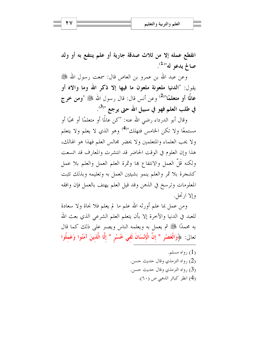انقطع عمله إلا من ثلاث صدقة جارية أو علم ينتفع به أو ولد صالح يدعو له"<sup>(1)</sup>.

وعن عبد الله بن عمرو بن العاص قال: سمعت رسول الله ﷺ يقول: "الدنيا ملعونة ملعون ما فيها إلا ذكر الله وما والاه أو عالمًا أو متعلمًا"<sup>(2)</sup> وعن أنس قال: قال رسول الله ﷺ "ومن خرج في طلب العلم فهو في سبيل الله حتى يرجع "<sup>(3)</sup>.

وقال أبو الدرداء رضي الله عنه: "كن عالمًا أو متعلمًا أو محبًا أو مستمعًا ولا تكن الخامس فتهلك"<sup>(4)</sup> وهو الذي لا يعلم ولا يتعلم ولا يحب العلماء والمتعلمين ولا يحضر مجالس العلم فهذا هو الهالك، هذا وإن العلوم في الوقت الحاضر قد انتشرت والمعارف قد اتسعت ولكنه قَلَّ العمل والانتفاع هما وثمرة العلم العمل والعلم بلا عمل كشجرة بلا ثمر والعلم ينمو بشيئين العمل به وتعليمه وبذلك تثبت المعلومات وترسخ في الذهن وقد قيل العلم يهتف بالعمل فإن وافقه وإلا ادتجل.

ومن عمل بما علم أورثه الله علم ما لم يعلم فلا نجاة ولا سعادة للعبد في الدنيا والآخرة إلا بأن يتعلم العلم الشرعي الذي بعث الله به محمدًا ﷺ ثم يعمل به ويعلمه الناس ويصبر على ذلك كما قال تعالى: ﴿وَالْعَصْرِ \* إِنَّ الْإِنْسَانَ لَفِي خُسْرٍ \* إِلَّا الَّذِينَ آمَنُوا وَعَملُوا ۖ

> رواه مسلم.  $(1)$ (2) رواه الترمذي وقال حديث حسن. (3) رواه الترمذي وقال حديث حسن. (4) انظر كبائر الذهبي ص (٦٠).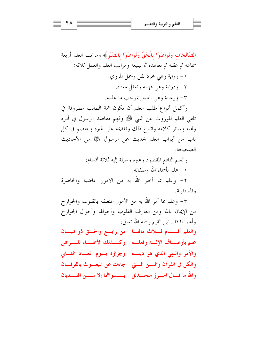الصَّالحَات وَتَوَاصَوْا بِالْحَقِّ وَتَوَاصَوْا بِالصَّبْرِ﴾ ومراتب العلم أربعة سماعه ثم عقله ثم تعاهده ثم تبليغه ومراتب العلم والعمل ثلاثة: ١- رواية وهي مجرد نقل وحمل المروي. ٢- ودراية وهي فهمه وتعقل معناه. ٣- ورعاية وهي العمل بموجب ما علمه. وأكمل أنواع طلب العلم أن تكون همة الطالب مصروفة في

تلقى العلم الموروث عن النبي ﷺ وفهم مقاصد الرسول في أمره وفميه وسائر كلامه واتباع ذلك وتقديمه على غيره ويعتصم في كل باب من أبواب العلم بحديث عن الرسول ﷺ من الأحاديث الصحيحة.

والعلم النافع المقصود وغيره وسيلة إليه ثلاثة أقسام: ١– علم بأسماء الله وصفاته. ٢- وعلم بما أحبر الله به من الأمور الماضية والحاضرة والمستقبلة.

٣- وعلم بما أمر الله به من الأمور المتعلقة بالقلوب والجوارح من الإيمان بالله ومن معارف القلوب وأحوالها وأحوال الجوارح وأعمالها قال ابن القيم رحمه الله تعالى: والعلم أقسسام ثللاث مالها من رابع والحت ذو تبيان علم بأوصاف الإلسه وفعلسه وكسذلك الأسمساء للسرحمن والأمر والنهى الذي هو دينه وجزاؤه يسوم المعاد الثباني والكلِّ في القرآن والسنن الستي حجاءت عن المبعسوث بالفرقسان والله ما قسال امسرؤ متحسذلق لمسسسواهما إلا مسسن الهسسذيان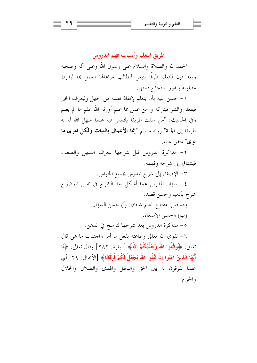طريق التعلم وأسباب فهم الدروس الحمد لله والصلاة والسلام على رسول الله وعلى آله وصحبه وبعد فإن للتعلم طرقًا ينبغي للطالب مراعاتها العمل ها ليدرك مطلوبه ويفوز بالنجاح فمنها:

١– حسن النية بأن يتعلم لإنقاذ نفسه من الجهل وليعرف الخير فيفعله والشر فيتركه و من عمل بما علم أورثه الله علم ما لم يعلم وفي الحديث: "من سلك طريقًا يلتمس فيه علما سهل الله له به طريقًا إلى الجنة" رواه مسلم "إنما الأعمال بالنيات ولكل امرئ ما نوى" متفق عليه.

٢- مذاكرة الدروس قبل شرحها ليعرف السهل والصعب فيشتاق إلى شرحه وفهمه.

٣- الإصغاء إلى شرح المدرس بجميع الحواس. ٤– سؤال المدرس عما أشكل بعد الشرح في نفس الموضوع شرح بأدب وحسن قصد. وقد قيل: مفتاح العلم شيئان: (أ) حسن السؤال. (ب) وحسن الإصغاء. ٥- مذاكرة الدروس بعد شرحها لترسخ في الذهن. ٦– تقوى الله تعالى وطاعته بفعل ما أمر واجتناب ما نمي قال تعالى: ﴿وَاتَّقُوا اللَّهَ وَيُعَلِّمُكُمُ اللَّهُ﴾ [البقرة: ٢٨٢] وقال تعالى: ﴿يَا أَيُّهَا الَّذينَ آمَنُوا إنْ تَتَّقُوا اللَّهَ يَجْعَلْ لَكُمْ فُرْقَانًا﴾ [الأنفال: ٢٩] أي علما تفرقون به بين الحق والباطل والهدى والضلال والحلال والحرام.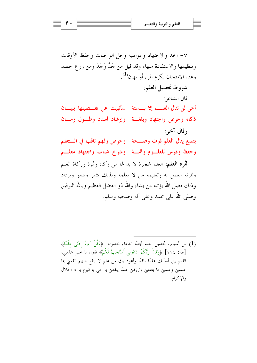شروط تحصيل العلم:

قال الشاعر :

أخى لن تنال العلـــم إلا بـــستة لسأنبيك عن تفـــصيلها ببيـــان ذكاء وحرص واجتهاد وبلغسة وإرشاد أستاذ وطسول زمسان وقال آخر :

بتسع ينال العلم قوت وصحة لوحرص وفهم ثاقب في الستعلم وحفظ ودرس للعلوم وهمسة وشرخ شباب واجتهاد معلسم

ثموة العلم: العلم شجرة لا بد لها من زكاة وثمرة وزكاة العلم وثمرته العمل به وتعليمه من لا يعلمه وبذلك يثمر وينمو ويزداد وذلك فضل الله يؤتيه من يشاء والله ذو الفضل العظيم وبالله التوفيق وصلى الله على محمد وعلى آله وصحبه وسلم.

(1) من أسباب تحصيل العلم أيضًا الدعاء بحصوله: ﴿وَقُلْ رَبِّ زِدْنِي عِلْمًا﴾ [طه: ١١٤] ﴿وَقَالَ رَبُّكُمُ ادْعُونِي أَسْتَحِبْ لَكُمْ﴾ تقول يا عَليَم علَمني، اللهم إن أسألك علمًا نافعًا وأعوذ بك من علم لا ينفع اللهم انفعني بما علمتني وعلمني ما ينفعني وارزقني علمًا ينفعني يا حي يا قيوم يا ذا الجلال والإكرام.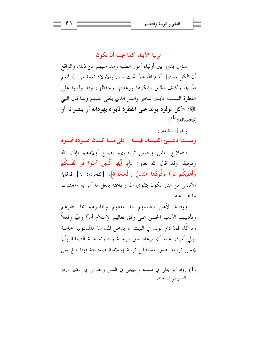## تربية الأبناء كما يجب أن تكون

سؤال يدور بين أولياء أمور الطلبة ومدرسيهم عن ذلك والواقع أن الكلِّ مسئول أمام الله عمَّا تحت يده، والأولاد نعمة من الله أنعم الله بها وكلف الخلق بشكرها ورعايتها وحفظها، وقد ولدوا على الفطرة السليمة قابلين للخير والشر الذي يلقى عليهم ولذا قال النبي ﷺ: «كل مولود يولد على الفطرة فأبواه يهودانه أو ينصرانه أو  $\mathbf{1}^{(1)}$ عحسانه»

وبقول الشاعر :

وينسشأ ناشهئ الفتيسان فينسا محلى مساكسان عسوده أبسوه

فبصلاح الناس وحسن توجيههم يصلح أولادهم بإذن الله وتوفيقه وقد قال الله تعالى: ﴿يَا أَيُّهَا الَّذِينَ آمَنُوا قُو أَنْفُسَكُمْ وَأَهْلِيكُمْ نَارًا وَقُودُهَا النَّاسُ وَالْحجَارَةُ﴾ [التحريم: ٦] فوقاية الأنفس من النار تكون بتقوى الله وطاعته بفعل ما أمر به واجتناب ما فمي عنه.

ووقاية الأهل بتعليمهم ما ينفعهم وتحذيرهم مما يضرهم وتأديبهم الأدب الحسن على وفق تعاليم الإسلام أمرًا ونميًا وفعلاً وتركًا، فما دام الولد في البيت لم يدخل المدرسة فالمسئولية خاصة بولى أمره، عليه أن يرعاه حق الرعاية ويصونه غاية الصيانة وأن يحسن تربيته بقدر المستطاع تربية إسلامية صحيحة فإذا بلغ سن

(1) رواه أبو يعلى في مسنده والبيهقى في السنن والطبراني في الكبير ورمز السيوطي لصحته.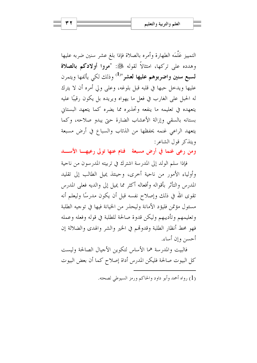التمييز عَلَّمَه الطهارة وأمره بالصلاة فإذا بلغ عشر سنين ضربه عليها وهدده على تركها، امتثالاً لقوله ﷺ: "مروا أولادكم بالصلاة لسبع سنين واضربوهم عليها لعشر "<sup>(1)</sup> وذلك لكي يألفها ويتمرن عليها ويدخل حبها في قلبه قبل بلوغه، وعلى ولي أمره أن لا يترك له الحبل على الغارب في فعلٍ ما يهواه ويريده بل يكون رقيبًا عليه يتعهده في تعليمه ما ينفعه وتحذيره مما يضره كما يتعهد البستاني بستانه بالسقى وإزالة الأعشاب الضارة حبى يبدو صلاحه، وكما يتعهد الراعي غنمه يحفظها من الذئاب والسباع في أرض مسبعة ويتذكر قول الشاعر:

ومن رعى غنما في أرض مسبعة \_ فنام عنها تولى رعيهـــا الأســـــد

فإذا سلم الولد إلى المدرسة اشترك في تربيته المدرسون من ناحية وأولياء الأمور من ناحية أخرى، وحينئذ يميل الطالب إلى تقليد المدرس والتأثر بأقواله وأفعاله أكثر مما يميل إلى والديه فعلى المدرس تقوى الله في ذلك وإصلاح نفسه قبل أن يكون مدرسًا وليعلم أنه مسئول مؤتمن فليؤد الأمانة وليحذر من الخيانة فيها في توجيه الطلبة وتعليمهم وتأديبهم وليكن قدوة صالحة للطلبة في قوله وفعله وعمله فهو محط أنظار الطلبة وقدوتمم في الخير والشر والهدى والضلالة إن أحسن وإن أساء.

فالبيت والمدرسة هما الأساس لتكوين الأجيال الصالحة وليست كل البيوت صالحة فليكن المدرس أداة إصلاح كما أن بعض البيوت

(1) رواه أحمد وأبو داود والحاكم ورمز السيوطي لصحته.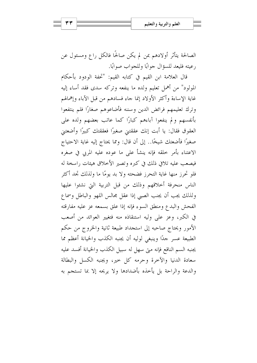الصالحة يتأثَّر أولادهم بمن لم يكن صالحًا فالكلِّ راعٍ ومسئولٍ عن رعيته فليعد للسؤال جوابًا وللجواب صوابًا.

قال العلامة ابن القيم في كتابه القيم: "تحفة الودود بأحكام المولود" من أهمل تعليم ولده ما ينفعه وتركه سدى فقد أساء إليه غاية الإساءة وأكثر الأولاد إنما جاء فسادهم من قبل الآباء وإهمالهم وترك تعليمهم فرائض الدين وسننه فأضاعوهم صغارًا فلم ينتفعوا بأنفسهم ولم ينفعوا آباءهم كبارًا كما عاتب بعضهم ولده على العقوق فقال: يا أبت إنك عققتني صغيرًا فعققتك كبيرًا وأضعتني صغيرًا فأضعتك شيخًا.. إلى أن قال: ومما يحتاج إليه غاية الاحتياج الاعتناء بأمر خلقه فإنه ينشأ على ما عوده عليه المربي في صغره فيصعب عليه تلافي ذلك في كبره وتصير الأخلاق هيئات راسخة له فلو تحرز منها غاية التحرز فضحته ولا بد يومًا ما ولذلك تجد أكثر الناس منحرفة أخلاقهم وذلك من قبل التربية التي نشئوا عليها ولذلك يجب أن يجنب الصبي إذا عقل مجالس اللهو والباطل وسماع الفحش والبدع ومنطق السوء فإنه إذا علق بسمعه عز عليه مفارقته في الكبر، وعز على وليه استنقاذه منه فتغيير العوائد من أصعب الأمور ويحتاج صاحبه إلى استجداد طبيعة ثانية والخروج من حكم الطبيعة عسر حدًا وينبغي لوليه أن يجنبه الكذب والخيانة أعظم مما يجنبه السم الناقع فإنه متى سهل له سبيل الكذب والخيانة أفسد عليه سعادة الدنيا والآخرة وحرمه كل حير، ويجنبه الكسل والبطالة والدعة والراحة بل يأخذه بأضدادها ولا يريحه إلا بما تستجم به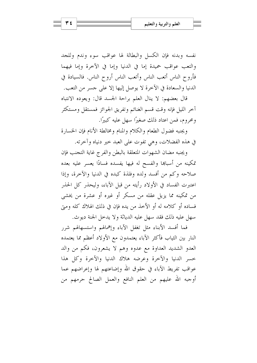نفسه وبدنه فإن الكسل والبطالة لها عواقب سوء وندم وللجد والتعب عواقب حميدة إما في الدنيا وإما في الآخرة وإما فيهما فأروح الناس أتعب الناس وأتعب الناس أروح الناس. فالسيادة في الدنيا والسعادة في الآخرة لا يوصل إليها إلا على حسر من التعب.

قال بعضهم: لا ينال العلم براحة الجسد قال: ويعوده الانتباه آخر الليل فإنه وقت قسم الغنائم وتفريق الجوائز فمستقل ومستكثر ومحروم، فمن اعتاد ذلك صغيرًا سهل عليه كبيرًا.

ويجنبه فضول الطعام والكلام والمنام ومخالطة الأنام فإن الخسارة في هذه الفضلات، وهي تفوت على العبد حير دنياه وآحرته.

ويجنبه مضان الشهوات المتعلقة بالبطن والفرج غاية التجنب فإن تمكينه من أسباها والفسح له فيها يفسده فسادًا يعسر عليه بعده صلاحه وكم من أفسد ولده وفلذة كبده في الدنيا والآخرة، وإذا اعتبرت الفساد في الأولاد رأيته من قبل الآباء، وليحذر كل الحذر من تمكينه مما يزيل عقله من مسكر أو غيره أو عشرة من يخشى فساده أو كلامه له أو الأخذ من يده فإن في ذلك الهلاك كله ومتي سهل عليه ذلك فقد سهل عليه الدياثة ولا يدحل الجنة ديوث.

فما أفسد الأبناء مثل تغفل الآباء وإهمالهم واستسهالهم شرر النار بين الثياب فأكثر الآباء يعتمدون مع الأولاد أعظم مما يعتمده العدو الشديد العداوة مع عدوه وهم لا يشعرون، فكم من والد حسر الدنيا والآحرة وعرضه هلاك الدنيا والآحرة وكل هذا عواقب تفريط الآباء في حقوق الله وإضاعتهم لها وإعراضهم عما أوجبه الله عليهم من العلم النافع والعمل الصالح حرمهم من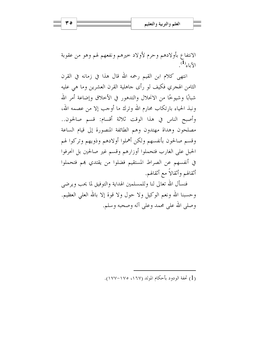الانتفاع بأولادهم وحرم لأولاد حيرهم ونفعهم لهم وهو من عقوبة  $\mathcal{L}^{(1)}$ الآباء $\mathcal{L}$ 

انتهى كلام ابن القيم رحمه الله قال هذا في زمانه في القرن الثامن الهجري فكيف لو رأى جاهلية القرن العشرين وما هي عليه شبابًا وشيوخًا من الانحلال والتدهور في الأخلاق وإضاعة أمر الله ونبذ الحياء بارتكاب محارم الله وترك ما أوجب إلا من عصمه الله، وأصبح الناس في هذا الوقت ثلاثة أقسام: قسم صالحون.. مصلحون وهداة مهتدون وهم الطائفة المنصورة إلى قيام الساعة وقسم صالحون بأنفسهم ولكن أهملوا أولادهم وذويهم وتركوا لهم الحبل على الغارب فتحملوا أوزارهم وقسم غير صالحين بل انحرفوا في أنفسهم عن الصراط المستقيم فضلوا من يقتدي هم فتحملوا أثقالهم وأثقالاً مع أثقالهم.

فنسأل الله تعالى لنا وللمسلمين الهداية والتوفيق لما يحب ويرضى وحسبنا الله ونعم الوكيل ولا حول ولا قوة إلا بالله العلى العظيم. وصلى الله على محمد وعلى آله وصحبه وسلم.

(1) تحفة الودود بأحكام المولد (١٦٧، ١٧٥–١٧٧).

ه ۳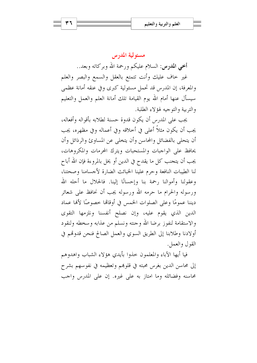#### مسئولية المدرس

أخي المدرس: السلام عليكم ورحمة الله وبركاته وبعد..

غير حاف عليك وأنت تتمتع بالعقل والسمع والبصر والعلم والمعرفة، إن المدرس قد تحمل مسئولية كبرى وفي عنقه أمانة عظمى سيسأل عنها أمام الله يوم القيامة تلك أمانة العلم والعمل والتعليم والتربية والتوجيه لهؤلاء الطلبة.

يجب على المدرس أن يكون قدوة حسنة لطلابه بأقواله وأفعاله، يجب أن يكون مثلاً أعلى في أخلاقه وفي أعماله وفي مظهره، يجب أن يتحلى بالفضائل والمحاسن وأن يتخلى عن المساوئ والرذائل وأن يحافظ على الواجبات والمستحبات ويترك المحرمات والمكروهات، يجب أن يتحنب كل ما يقدح في الدين أو يخل بالمروءة فإن الله أباح لنا الطيبات النافعة وحرم علينا الخبائث الضارة لأجسامنا وصحتنا، وعقولنا وأموالنا رحمة بنا وإحسانًا إلينا. فالحلال ما أحله الله ورسوله والحرام ما حرمه الله ورسوله يجب أن نحافظ على شعائر ديننا عمومًا وعلى الصلوات الخمس في أوقاهًا خصوصًا لأهًا عماد الدين الذي يقوم عليه، وإن نصلح أنفسنا ونلزمها التقوى والاستقامة لنفوز برضا الله وحنته ونسلم من عذابه وسخطه ولنقود أولادنا وطلابنا إلى الطريق السوي والعمل الصالح فنحن قدوتهم في القول والعمل.

فيا أيها الآباء والمعلمون خذوا بأيدي هؤلاء الشباب واهدوهم إلى محاسن الدين بغرس محبته في قلوبهم وتعظيمه في نفوسهم بشرح محاسنه وفضائله وما امتاز به على غيره. إن على المدرس واجب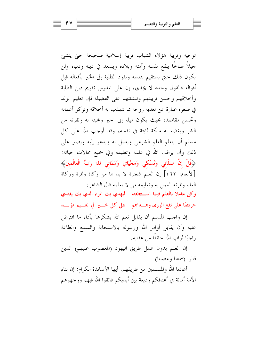توجيه وتربية هؤلاء الشباب تربية إسلامية صحيحة حبى ينشئ جيلاً صالحًا ينفع نفسه وأمته وبلاده ويسعد في دينه ودنياه ولن يكون ذلك حبيّ يستقيم بنفسه ويقود الطلبة إلى الخير بأفعاله قبل أقواله فالقول وحده لا يجدي، إن على المدرس تقويم دين الطلبة وأخلاقهم وحسن تربيتهم وتنشئتهم على الفضيلة فإن تعليم الولد في صغره عبارة عن تغذية روحه بما تتهذب به أحلاقه وتزكو أعماله وتحسن مقاصده بحيث يكون ميله إلى الخير ومحبته له ونفرته من الشر وبغضه له ملكة ثابتة في نفسه، وقد أوجب الله على كل مسلم أن يتعلم العلم الشرعي ويعمل به ويدعو إليه ويصبر على ذلك وأن يراقب الله في علمه وتعليمه وفي جميع مجالات حياته: ﴿قُلْ إِنَّ صَلَاتِي وَنُسُكِي وَمَحْيَايَ وَمَمَاتِي لله رَبِّ الْعَالَمِينَ﴾ [الأنعام: ١٦٢] إن العلم شجرة لا بد لها من زكاة وثمرة وزكاة العلم وثمرته العمل به وتعليمه من لا يعلمه قال الشاعر:

وكن عاملا بالعلم فيما استطعته ليهدى بك المرء الذي بك يقتدى حريصًا على نفع الورى وهـــداهم لتمل كل خـــير في نعـــيم مؤبـــد

إن واحب المسلم أن يقابل نعم الله بشكرها بأداء ما افترض عليه وأن يقابل أوامر الله ورسوله بالاستحابة والسمع والطاعة , اجيًا ثواب الله خائفًا من عقابه.

إن العلم بدون عمل طريق اليهود (المغضوب عليهم) الذين قالوا (سمعنا وعصينا).

أعاذنا الله والمسلمين من طريقهم. أيها الأساتذة الكرام: إن بناء الأمة أمانة في أعناقكم وديعة بين أيديكم فاتقوا الله فيهم ووجهوهم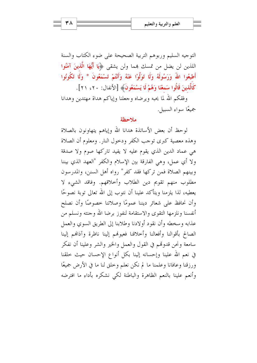التوجيه السليم وربوهم التربية الصحيحة على ضوء الكتاب والسنة اللذين لن يضل من تمسك هما ولن يشقى ﴿**يَا أَيُّهَا الَّذِينَ آمَنُوا** أَطِيعُوا اللهُ وَرَسُولَهُ وَلَا تَوَلَّوْا عَنْهُ وَأَنْتُمْ تَسْمَعُونَ \* وَلَا تَكُونُوا كَالَّذِينَ قَالُوا سَمعْنَا وَهُمْ لَا يَسْمَعُونَ﴾ [الأنفال: ٢٠، ٢١].

وفقكم الله لما يحبه ويرضاه وجعلنا وإياكم هداة مهتدين وهدانا جميعًا سواءِ السبيل.

#### ملاحظة

لوحظ أن بعض الأساتذة هدانا الله وإياهم يتهاونون بالصلاة وهذه معصية كبرى توحب الكفر ودخول النار. ومعلوم أن الصلاة هي عماد الدين الذي يقوم عليه لا يفيد تاركها صوم ولا صدقة ولا أي عمل، وهي الفارقة بين الإسلام والكفر "العهد الذي بيننا وبينهم الصلاة فمن تركها فقد كفر" , واه أهل السنن، والمدرسون مطلوب منهم تقويم دين الطلاب وأحلاقهم. وفاقد الشيء لا يعطيه، لذا يلزمنا ويتأكد علينا أن نتوب إلى الله تعالى توبة نصوحًا وأن نحافظ على شعائر ديننا عمومًا وصلاتنا حصوصًا وأن نصلح أنفسنا ونلزمها التقوى والاستقامة لنفوز برضا الله وحنته ونسلم من عذابه وسخطه وأن نقود أولادنا وطلابنا إلى الطريق السوى والعمل الصالح بأقوالنا وأفعالنا وأحلاقنا فعيولهم إلينا ناظرة وآذالهم إلينا سامعة ونحن قدوقمم في القول والعمل والخير والشر وعلينا أن نفكر في نعم الله علينا وإحسانه إلينا بكل أنواع الإحسان حيث حلقنا ورزقنا وعافانا وعلمنا ما لم نكن نعلم وحلق لنا ما في الأرض جميعًا وأنعم علينا بالنعم الظاهرة والباطنة لكي نشكره بأداء ما افترضه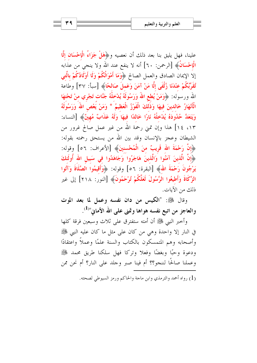علينا، فهل يليق بنا بعد ذلك أن نعصيه و﴿هَلْ جَزَاءُ الْإِحْسَانِ إِلَّا الْإِحْسَانُ﴾ [الرحمن: ٦٠] أنه لا ينفع عند الله ولا ينجى من عذابه إلا الإيمان الصادق والعمل الصالح ﴿وَمَا أَهْوَالُكُمْ وَلَا أَوْلَادُكُمْ بِالَّتِي تُقَرِّبُكُمْ عِنْدَنَا زُلْفَى إِلَّا مَنْ آمَنَ وَعَملَ صَالحًا﴾ [سبأ: ٣٧] وطاعة الله ورسوله: ﴿وَمَنْ يُطعِ اللَّهَ وَرَسُولَهُ يُدْخِلْهُ جَنَّات تَجْرِي منْ تَحْتهَا الْأَنْهَارُ خَالدينَ فِيهَا وَذَٰلَكَ الْفَوْزُ الْعَظِيمُ \* وَمَنْ يَعْصِ اللَّهَ وَرَسُولَهُ وَيَتَعَدَّ حُدُودَهُ يُدْحَلْهُ نَارًا خَاللاًا فِيهَا وَلَهُ عَذَابٌ مُهِينٌ﴾ [النساء: ١٣، ١٤] هذا وإن تمنى رحمة الله من غير عمل صالح غرور من الشيطان وعجز بالإنسان وقد بين الله من يستحق رحمته بقوله: ﴿إِلَّا رَحْمَةَ الله قَرِيبٌ منَ الْمُحْسنينَ﴾ [الأعراف: ٥٦] وقوله: ﴿إِنَّ الَّذِينَ آمَنُوا وَالَّذِينَ هَاجَرُوا وَجَاهَدُوا فِي سَبِيلِ اللهِ أُولَٰئِكَ يَرْجُونَ رَحْمَةَ اللهُ﴾ [البقرة: ٥٦] وقوله: ﴿وَأَقِيمُوا الصَّلَاةَ وَآَتُوا الزَّكَاةَ وَأَطيعُوا الرَّسُولَ لَعَلَّكُمْ تُرْحَمُونَ﴾ [النور: ٢١٨] إلى غير ذلك من الآيات.

وقال ﷺ: "الكيس من دان نفسه وعمل لما بعد الموت والعاجز من اتبع نفسه هواها وتمنى على الله الأمانى"<sup>(1)</sup>.

وأخبر النبي ﷺ أن أمته ستفترق على ثلاث وسبعين فرقة كلها في النار إلا واحدة وهي من كان على مثل ما كان عليه النبي ﷺ وأصحابه وهم المتمسكون بالكتاب والسنة علمًا وعملاً واعتقادًا ودعوة وحبًا وبغضًا وفعلاً وتركاً فهل سلكنا طريق محمد ﷺ وعملنا صالحًا لننجو؟؟ أم فينا صبر وحلد على النار؟ أم نحن ممن

(1) رواه أحمد والترمذي وابن ماحة والحاكم ورمز السيوطي لصحته.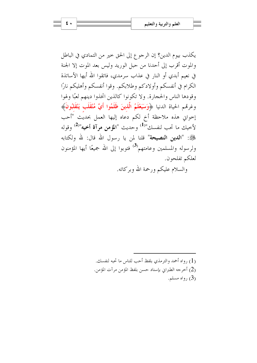يكذب بيوم الدين؟ إن الرجوع إلى الحق حير من التمادي في الباطل والموت أقرب إلى أحدنا من حبل الوريد وليس بعد الموت إلا الجنة في نعيم أبدي أو النار في عذاب سرمدي، فاتقوا الله أيها الأساتذة الكرام في أنفسكم وأولادكم وطلابكم. وقوا أنفسكم وأهليكم نارًا وقودها الناس والحجارة. ولا تكونوا كالذين اتخذوا دينهم لعبًا ولهوا وغرقم الحياة الدنيا ﴿وَسَيَعْلَمُ الَّذِينَ ظَلَمُوا أَيَّ مُنْقَلَبٍ يَنْقَلَبُونَ﴾ إخواني هذه ملاحظة أخ لكم دعاه إليها العمل بحديث "أحب لأخيك ما تحب لنفسك"<sup>(1)</sup> وحديث "المؤمن مرآة أخيه"<sup>(2)</sup> وقوله ﷺ: "**الدين النصيحة**" قلنا لمن يا رسول الله قال: لله ولكتابه ولرسوله والمسلمين وعامتهم<sup>(3)</sup> فتوبوا إلى الله جميعًا أيها المؤمنون لعلكم تفلحون.

والسلام عليكم ورحمة الله وبركاته.

(1) رواه أحمد والترمذي بلفظ أحب للناس ما تحبه لنفسك. (2) أخرجه الطبراني بإسناد حسن بلفظ المؤمن مرآت المؤمن. . (3) رواه مسلم)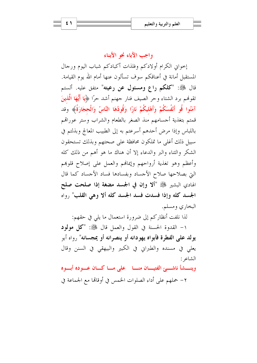# واجب الآباء نحو الأبناء

إخواني الكرام أولادكم وفلذات أكبادكم شباب اليوم ورجال المستقبل أمانة في أعناقكم سوف تسألون عنها أمام الله يوم القيامة. قال ﷺ: "كلكم راع ومسئول عن رعيته" متفق عليه. ألستم تقوهُم برد الشتاء وحر الصيف فنار جهنم أشد حرًا ﴿يَا أَيُّهَا الَّذِينَ آمَنُوا قُو أَنْفُسَكُمْ وَأَهْليكُمْ نَارًا وَقُودُهَا النَّاسُ وَالْحجَارَةُ﴾ وقد قمتم بتغذية أجسامهم منذ الصغر بالطعام والشراب وستر عوراقمم باللباس وإذا مرض أحدهم أسرعتم به إلى الطبيب المعالج وبذلتم في سبيل ذلك أغلى ما تملكون محافظة على صحتهم وبذلك تستحقون الشكر والثناء والبر والدعاء إلا أن هناك ما هو أهم من ذلك كله وأعظم وهو تغذية أرواحهم وإيمالهم والعمل على إصلاح قلوهم التي بصلاحها صلاح الأجساد وبفسادها فساد الأجساد كما قال الهادي البشير ﷺ "ألا وإن في الجسد مضغة إذا صلحت صلح الجسد كله وإذا فسدت فسد الجسد كله ألا وهي القلب" رواه البخاري ومسلم.

لذا نلفت أنظاركم إلى ضرورة استعمال ما يلي في حقهم:

١- القدوة الحسنة في القول والعمل قال ﷺ: "كل مولود يو لد على الفطرة فأبواه يهودانه أو ينصرانه أو يمجسانه" , واه أبو يعلى في مسنده والطبراني في الكبير والبيهقي في السنن وقال الشاعر :

وينسشأ ناشهئ الفتيسان منسا على مساكسان عسوده أبسوه

٢– حملهم على أداء الصلوات الخمس في أوقاهًا مع الجماعة في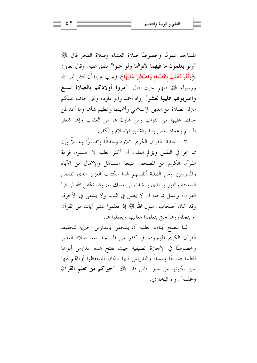المساجد عمومًا وحصوصًا صلاة العشاء وصلاة الفجر قال ﷺ "ولو يعلمون ما فيهما لأتوهما ولو حبوا" متفق عليه. وقال تعالى: ﴿وَأَمُرْ أَهْلَكَ بِالصَّلَاةِ وَاصْطَبَرْ عَلَيْهَا﴾ فيحب علينا أن نمتثل أمر الله ورسوله ﷺ فيهم حيث قال: "مروا أولادكم بالصلاة لسبع واضربوهم عليها لعشر" رواه أحمد وأبو داود، وغير حاف عليكم متزلة الصلاة من الدين الإسلامي وأهميتها وعظيم شألها وما أعد لمن حافظ عليها من الثواب ولمن قماون ها من العقاب وإفما شعار المسلم وعماد الدين والفارقة بين الإسلام والكفر.

٣– العناية بالقرآن الكريم: تلاوة وحفظًا وتفسيرًا وعملاً وإن مما يجز في النفس ويؤلم القلب أن أكثر الطلبة لا يحسنون قراءة القرآن الكريم من المصحف نتيجة التساهل والإهمال من الآباء والمدرسين ومن الطلبة أنفسهم لهذا الكتاب العزيز الذي تضمن السعادة والنور والهدى والشفاء لمن تمسك به، وقد تكفل الله لمن قرأ القرآن، وعمل بما فيه أن لا يضل في الدنيا ولا يشقى في الآخرة، وقد كان أصحاب رسول الله ﷺ إذا تعلموا عشر آيات من القرآن لم يتجاوزوها حتى يتعلموا معانيها ويعملوا ها.

لذا ننصح أبناءنا الطلبة أن يلتحقوا بالمدارس الخيرية لتحفيظ القرآن الكريم الموجودة في كثير من المساجد بعد صلاة العصر وخصوصًا في الإجازة الصيفية حيث تفتح هذه المدارس أبواها للطلبة صباحًا ومساءً والتدريس فيها بالمحان فليحفظوا أوقاقم فيها حتى يكونوا من حير الناس قال ﷺ: "خيركم من تعلم القرآن وعلمه" , واه البخاري.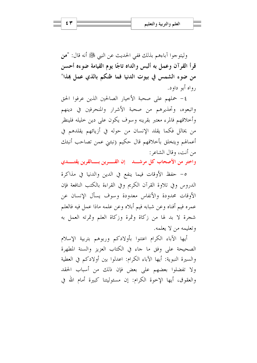وليتوحوا آباءهم بذلك ففي الحديث عن النبي ﷺ أنه قال: "من قرأ القرآن وعمل به ألبس والداه تاجًا يوم القيامة ضوءه أحسن من ضوء الشمس في بيوت الدنيا فما ظنكم بالذي عمل هذا" رواه أبو داود.

٤- حملهم على صحبة الأخيار الصالحين الذين عرفوا الحق واتبعوه، وتحذيرهم من صحبة الأشرار والمنحرفين في دينهم وأخلاقهم فالمرء معتبر بقرينه وسوف يكون على دين خليله فلينظر من يخالل فكما يقلد الإنسان من حوله في أزيائهم يقلدهم في أعمالهم ويتخلق بأخلاقهم قال حكيم (نبئني عمن تصاحب أنبئك من أنت، وقال الشاعر :

واختر من الأصحاب كل مرشـــد إن القــــرين بــــالقرين يقتــــدي

٥- حفظ الأوقات فيما ينفع في الدين والدنيا في مذاكرة الدروس وفي تلاوة القرآن الكريم وفي القراءة بالكتب النافعة فإن الأوقات محدودة والأنفاس معدودة وسوف يسأل الإنسان عن عمره فيم أفناه وعن شبابه فيم أبلاه وعن علمه ماذا عمل فيه فالعلم شجرة لا بد لها من زكاة وثمرة وزكاة العلم وثمرته العمل به وتعليمه من لا يعلمه.

أيها الآباء الكرام اعتنوا بأولادكم وربوهم بتربية الإسلام الصحيحة على وفق ما جاء في الكتاب العزيز والسنة المطهرة والسيرة النبوية: أيها الآباء الكرام: اعدلوا بين أولادكم في العطية ولا تفضلوا بعضهم على بعض فإن ذلك من أسباب الحقد والعقوق، أيها الإخوة الكرام: إن مسئوليتنا كبيرة أمام الله في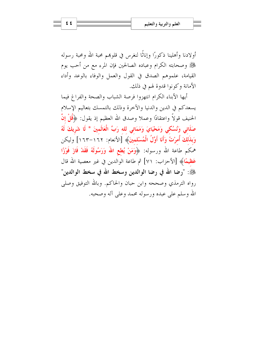أولادنا وأهلينا ذكورًا وإناثًا لنغرس في قلوهم محبة الله ومحبة رسوله ﷺ وصحابته الكرام وعباده الصالحين فإن المرء مع من أحب يوم القيامة، علموهم الصدق في القول والعمل والوفاء بالوعد وأداء الأمانة وكونوا قدوة لهم في ذلك.

أيها الأبناء الكرام انتهزوا فرصة الشباب والصحة والفراغ فيما يسعدكم في الدين والدنيا والآخرة وذلك بالتمسك بتعاليم الإسلام الحنيف قولاً واعتقادًا وعملاً وصدق الله العظيم إذ يقول: ﴿قُلْ إِنَّ صَلَاتِي وَنُسُكِي وَمَحْيَايَ وَمَمَاتِي لله رَبِّ الْعَالَمِينَ \* لَا شَرِيكَ لَهُ وَبِذَلَكَ أُمرْتُ وَأَنَا أَوَّلُ الْمُسْلمينَ﴾ [الأنعام: ١٦٢–١٦٣] وليكن هُمَكُم طاعة الله ورسوله: ﴿وَمَنْ يُطِعِ اللَّهَ وَرَسُولَهُ فَقَدْ فَازَ فَوْزًا عَظيمًا﴾ [الأحزاب: ٧١] ثم طاعة الوالدين في غير معصية الله قال ﴾ : "رضا الله في رضا الوالدين وسخط الله في سخط الوالدين" رواه الترمذي وصححه وابن حبان والحاكم. وبالله التوفيق وصلى الله وسلم على عبده ورسوله محمد وعلى آله وصحبه.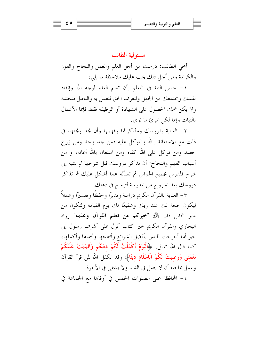#### مسئه لية الطالب

أخي الطالب: درست من أحل العلم والعمل والنجاح والفوز والكرامة ومن أجل ذلك يجب عليك ملاحظة ما يلي:

١– حسن النية في التعلم بأن تعلم العلم لوجه الله وإنقاذ نفسك ومجتمعك من الجهل ولتعرف الحق فتعمل به والباطل فتجتنبه ولا يكن همك الحصول على الشهادة أو الوظيفة فقط فإنما الأعمال بالنبات وإنما لكل امرئ ما نوى.

٢– العناية بدروسك ومذاكرالها وفهمها وأن تجد وتجتهد في ذلك مع الاستعانة بالله والتوكل عليه فمن جد وجد ومن زرع حصد ومن توكل على الله كفاه ومن استعان بالله أعانه، و من أسباب الفهم والنجاح: أن تذاكر دروسك قبل شرحها ثم تنتبه إلى شرح المدرس بجميع الحواس ثم تسأله عما أشكل عليك ثم تذاكر دروسك بعد الخروج من المدرسة لترسخ في ذهنك.

٣– العناية بالقرآن الكريم دراسة وتدبرًا وحفظًا وتفسيرًا وعملاً ليكون حجة لك عند ربك وشفيعًا لك يوم القيامة ولتكون من حير الناس قال ﷺ "خيركم من تعلم القرآن وعلمه" رواه البخاري والقرآن الكريم حير كتاب أنزل على أشرف رسول إلى خير أمة أخرجت للناس بأفضل الشرائع وأسمحها وأسماها وأكملها، كما قال الله تعالى: ﴿الْيَوْمَ أَكْمَلْتُ لَكُمْ دِينَكُمْ وَأَتْمَمْتُ عَلَيْكُمْ نعْمَتِي وَرَضِيتُ لَكُمُ الْإِسْلَامَ دِينَا﴾ وقد تكفل الله لمن قرأ القرآن وعمل بما فيه أن لا يضل في الدنيا ولا يشقى في الآخرة.

٤- المحافظة على الصلوات الخمس في أوقالها مع الجماعة في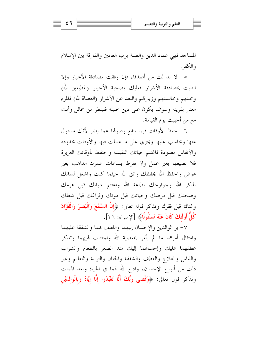المساجد فهي عماد الدين والصلة برب العالمين والفارقة بين الإسلام والكفر .

٥- لا بد لك من أصدقاء فإن وفقت لمصادقة الأخيار وإلا ابتليت بمصادقة الأشرار فعليك بصحبة الأخيار (المطيعين لله) ومحبتهم ومحالستهم وزيارقمم والبعد عن الأشرار (العصاة لله) فالمرء معتبر بقرينه وسوف يكون على دين خليله فلينظر من يخالل وأنت مع من أحببت يوم القيامة.

٦- حفظ الأوقات فيما ينفع وصونها عما يضر لأنك مسئول عنها ومحاسب عليها ومجزي على ما عملت فيها والأوقات محدودة والأنفاس معدودة فاغتنم حياتك النفيسة واحتفظ بأوقاتك العزيزة فلا تضيعها بغير عمل ولا تفرط بساعات عمرك الذاهب بغير عوض واحفظ الله يحفظك واتق الله حيثما كنت واشغل لسانك بذكر الله وجوارحك بطاعة الله واغتنم شبابك قبل هرمك وصحتك قبل مرضك وحياتك قبل موتك وفراغك قبل شغلك وغناك قبل فقرك وتذكر قوله تعالى: ﴿إِنَّ السَّمْعَ وَالْبَصَرَ وَالْفُؤَادَ كُلُّ أُولَئِكَ كَانَ عَنْهُ مَسْئُولًا﴾ [الإسراء: ٣٦].

٧- بر الوالدين والإحسان إليهما واللطف بمما والشفقة عليهما وامتثال أمرهما ما لم يأمرا بمعصية الله واجتناب لهيهما وتذكر عطفهما عليك وإحسافهما إليك منذ الصغر بالطعام والشراب واللباس والعلاج والعطف والشفقة والحنان والتربية والتعليم وغير ذلك من أنواع الإحسان، وادع الله لهما في الحياة وبعد الممات وتذكر قول تعالى: ﴿وَقَضَى رَبُّكَ أَلَّا تَعْبُدُوا إِلَّا إِيَّاهُ وَبِالْوَالِدَيْنِ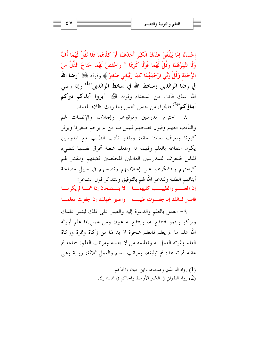إِحْسَانًا إِمَّا يَبْلُغَنَّ عِنْدَكَ الْكَبَرَ أَحَدُهُمَا أَوْ كلَاهُمَا فَلَا تَقُلْ لَهُمَا أُفٍّ وَلَا تَنْهَرْهُمَا وَقُلْ لَهُمَا قَوْلًا كَرِيمًا \* وَاحْفضْ لَهُمَا جَنَاحَ الذُّلِّ منَ الرَّحْمَة وَقُلْ رَبِّي ارْحَمْهُمَا كَمَا رَبَّيَانِي صَغِيرًا﴾ وقوله ﷺ "رضا الله في رضا الوالدين وسخط الله في سخط الوالدين"<sup>(1)</sup> وإذا رضي الله عنك فأنت من السعداء وقوله ﷺ: "بووا آباءكم تبركم **أبناؤكم"<sup>(2)</sup> فالجزاء من حنس العمل وما ربك بظلام للعبيد.** 

٨– احترام المدرسين وتوقيرهم وإجلالهم والإنصات لهم والتأدب معهم وقبول نصحهم فليس منا من لم يرحم صغيرنا ويوقر كبيرنا ويعرف لعالمنا حقه، وبقدر تأدب الطالب مع المدرسين يكون انتفاعه بالعلم وفهمه له والمعلم شعلة تحرق نفسها لتضيء للناس فلنعرف للمدرسين العاملين المخلصين فضلهم ولنقدر لهم كرامتهم ولنشكرهم على إحلاصهم ونصحهم في سبيل مصلحة أبنائهم الطلبة ولندعو الله لهم بالتوفيق ولنتذكر قول الشاعر:

إن المعلم والطبيسب كليهمسا لا ينهصحان إذا همسالم يكرمسا فاصبر لدائك إن جفوت طبيبه واصبر لجهلك إن جفوت معلما

٩- العمل بالعلم والدعوة إليه والصبر على ذلك ليثمر علمك ويزكو وينمو فتنتفع به، وينتفع به غيرك ومن عمل بما علم أورثه الله علم ما لم يعلم فالعلم شجرة لا بد لها من زكاة وثمرة وزكاة العلم وثمرته العمل به وتعليمه من لا يعلمه ومراتب العلم: سماعه ثم عقله ثم تعاهده ثم تبليغه، ومراتب العلم والعمل ثلاثة: رواية وهي

> (1) , واه الترمذي وصححه وابن حبان والحاكم. (2) رواه الطبراني في الكبير الأوسط والحاكم في المستدرك.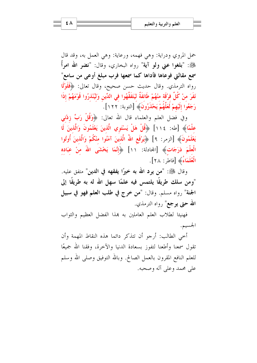حمل المروي ودراية: وهي فهمه، ورعاية: وهي العمل به، وقد قال ﷺ: "بلغوا عني ولو آية" رواه البخاري، وقال: "نضو الله امرأً سمع مقالتي فوعاها فأداها كما سمعها فرب مبلغ أوعى من سامع" رواه الترمذي. وقال حديث حسن صحيح، وقال تعالى: ﴿فَلَوْلَا نَفَرَ منْ كُلِّ فرْقَة منْهُمْ طَائفَةٌ ليَتَفَقَّهُوا في الدِّينِ وَليُنْذِرُوا قَوْمَهُمْ إذَا رَجَعُوا إِلَيْهِمْ لَعَلَّهُمْ يَحْذَرُونَ﴾ [التوبة: ١٢٢].

وفي فضل العلم والعلماء قال الله تعالى: ﴿وَقُلْ رَبِّ زِدْنِي علْمًا﴾ [طه: ١١٤] ﴿قُلْ هَلْ يَسْتَوِي الَّذِينَ يَعْلَمُونَ وَالَّذِينَ لَه يَعْلَمُونَ﴾ [الزمر: ٩] ﴿يَرْفَعِ اللهُ الَّذِينَ آمَنُوا منْكُمْ وَالَّذِينَ أُوتُوا الْعِلْمَ دَرَجَاتٍ﴾ [المحادلة: ١١] ﴿إِنَّمَا يَخْشَى اللهَ منْ عَبَادِهِ الْعُلَمَاءُ﴾ [فاطر: ٢٨].

وقال ﷺ: "من يود الله به خيرًا يفقهه في الدين" متفق عليه. "ومن سلك طريقًا يلتمس فيه علمًا سهل الله له به طريقًا إلى الجنة" رواه مسلم. وقال: "من خرج في طلب العلم فهو في سبيل **الله حتى يرجع**" رواه الترمذي.

فهنيئا لطلاب العلم العاملين به هذا الفضل العظيم والثواب الجسيم.

أخي الطالب: أرجو أن تتذكر دائما هذه النقاط المهمة وأن تقول سمعنا وأطعنا لتفوز بسعادة الدنيا والآحرة، وفقنا الله جميعًا للعلم النافع المقرون بالعمل الصالح. وبالله التوفيق وصلى الله وسلم على محمد وعلى آله وصحبه.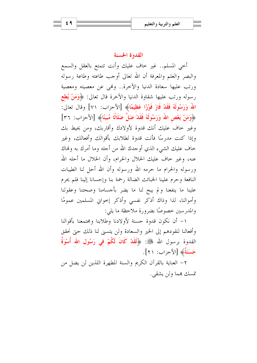#### القدوة الحسنة

أخي المسلم.. غير خاف عليك وأنت تتمتع بالعقل والسمع والبصر والعلم والمعرفة أن الله تعالى أوجب طاعته وطاعة رسوله ورتب عليها سعادة الدنيا والآخرة.. وهي عن معصيته ومعصية رسوله ورتب عليها شقاوة الدنيا والآخرة قال تعالى: ﴿وَمَنْ يُطِعِ اللهُ وَرَسُولَهُ فَقَدْ فَازَ فَوْزًا عَظِيمًا﴾ [الأحزاب: ٧١] وقال تعالى: ﴿وَمَنْ يَعْصِ اللَّهَ وَرَسُولَهُ فَقَدْ ضَلَّ ضَلَالًا مُبِينًا﴾ [الأحزاب: ٣٦] وغير حاف عليك أنك قدوة لأولادك وأقاربك، ومن يحيط بك وإذا كنت مدرسًا فأنت قدوة لطلابك بأقوالك وأفعالك، وغير خاف عليك الشيء الذي أوجدك الله من أحله وما أمرك به وفماك عنه، وغير حاف عليك الحلال والحرام، وأن الحلال ما أحله الله ورسوله والحرام ما حرمه الله ورسوله وأن الله أحل لنا الطيبات النافعة وحرم علينا الخبائث الضالة رحمة بنا وإحسانا إلينا فلم يحرم علينا ما ينفعنا ولم يبح لنا ما يضر بأحسامنا وصحتنا وعقولنا وأموالنا، لذا وذاك أذكر نفسي وأذكر إحواني المسلمين عمومًا والمدرسين خصوصًا بضرورة ملاحظة ما يلي:

١– أن نكون قدوة حسنة لأولادنا وطلابنا ومجتمعنا بأقوالنا وأفعالنا لنقودهم إلى الخير والسعادة ولن يتسنى لنا ذلك حتى نحقق القدوة برسول الله ﷺ: ﴿لَقَلاْ كَانَ لَكُمْ فِي رَسُولِ اللهِ أُسْوَةٌ حَسَنَةٌ﴾ [الأحزاب: ٢١].

٢– العناية بالقرآن الكريم والسنة المطهرة اللذين لن يضل من تمسك بمما ولن يشقى.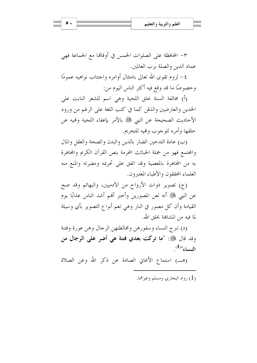$\bullet$ .

٣- المحافظة على الصلوات الخمس في أوقاقما مع الجماعة فهي عماد الدين والصلة برب العالمين.

٤– لزوم تقوى الله تعالى بامتثال أوامره واحتناب نواهيه عمومًا وخصوصًا ما قد وقع فيه أكثر الناس اليوم من:

(أ) مخالفة السنة بحلق اللحية وهي اسم للشعر النابت على الخدين والعارضين والذقن كما في كتب اللغة على الرغم من ورود الأحاديث الصحيحة عن النبي ﷺ بالأمر بإعفاء اللحية ولهيه عن حلقها وأمره للوحوب وفيه للتحريم.

(ب) عادة التدحين الضار بالدين والبدن والصحة والعقل والمال والمجتمع فهو من جملة الخبائث المحرمة بنص القرآن الكريم والمحاهرة به من المحاهرة بالمعصية وقد اتفق على تحريمه ومضرته والمنع منه العلماء المحققون والأطباء المعتبرون.

(ج) تصوير ذوات الأرواح من الآدميين، والبهائم وقد صح عن النبي ﷺ أنه لعن المصورين وأحبر ألهم أشد الناس عذابًا يوم القيامة وأن كل مصور في النار وهي تعم أنواع التصوير بأي وسيلة لما فبه من المشاهِة بخلق الله.

(د) تبرج النساء وسفورهن ومخالطتهن الرحال وهن عورة وفتنة وقد قال ﷺ: "ما تركت بعدي فتنة هي أضر على الرجال من  $\mathcal{L}^{(1)}$ النساء"

(هـ) استماع الأغاني الصادة عن ذكر الله وعن الصلاة

(1) رواه البخاري ومسلم وغيرهما.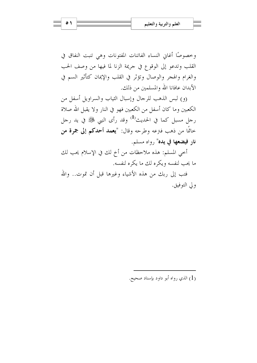وخصوصًا أغان النساء الفاتنات المفتونات وهي تنبت النفاق في القلب وتدعو إلى الوقوع في جريمة الزنا لما فيها من وصف الحب والغرام والهجر والوصال وتؤثر في القلب والإيمان كتأثير السم في الأبدان عافانا الله والمسلمين من ذلك.

(و) لبس الذهب للرجال وإسبال الثياب والسراويل أسفل من الكعبين وما كان أسفل من الكعبين فهو في النار ولا يقبل الله صلاة رجل مسبل كما في الحديث<sup>(1)</sup> وقد رأى النبي ﷺ في يد رجل خاتمًا من ذهب فنزعه وطرحه وقال: "يعمد أحدكم إلى جمرة من نار فيضعها في يده" رواه مسلم.

أخي المسلم: هذه ملاحظات من أخ لك في الإسلام يحب لك ما يحب لنفسه ويكره لك ما يكره لنفسه.

فتب إلى ربك من هذه الأشياء وغيرها قبل أن تموت.. والله ولى التوفيق.

(1) الذي رواه أبو داود بإسناد صحيح.

 $\bullet$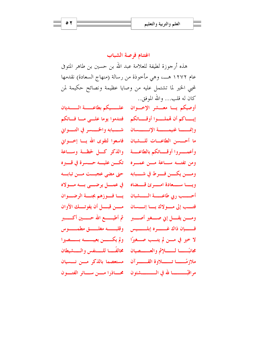اغتنام فرصة الشباب هذه أ, جوزة لطيفة للعلامة عبد الله بن حسين بن طاهر المتوفى عام ١٢٧٢ هـــ، وهي مأخوذة من رسالة (منهاج السعادة) نقدمها لمجيي الخير لما تشتمل عليه من وصايا عظيمة ونصائح حكيمة لمن كان له قلب... والله الموفق..

أوصيكم يسا معسشر الإخسوان علمسيكم بطاعسسة المسلديان إيساكم أن قملسوا أوقساتكم فتندموا يوما علسي مسافساتكم وإنمسسا غنيمسسة الإنسسسان فتسبابه والخسسر في التسبواني ما أحــــسن الطاعــــات للــــشبان فاسعوا لتقوى الله يــــا إخــــوانى وأعمسووا أوقساتكم بالطاعسة والذكر كسل لحظة وسباعة ومن تفتسه سساعة مسن عمسوه - تكسن عليسه حسسوة في قسيره ومسين يكسين فسيرط في شسبابه مصحتي مضي عجبست مسن تبابسه ويسما سمسعادة امسوئ قسطناه في عمسل يرضي بسه مسولاه أحسسب ربي طاعسسة السسشبان ليسا فسوزهم بجنسة الرضسوان فتسب إلى مسولاك يسا إنسسان مسسن قبسل أن يفوتسك الأوان ومســن يقـــــل إني صـــــغير أصــــــبر ثم أطيــــــــع الله حــــــــين أكــــــــبر فسسإن ذاك غسسره إبلىسسيس وقلبسسه مغلسسق مطمسسوس لا خير في مسن لم يتسب صفيرًا - ولم يكسسن بعيبــــــه بــــــصيرا مجانبًـــــا لــــــــلإثم والعــــــصيان متخالفَـــــا للــــنفس والــــشيطان ملازمًـــا تــــلاوة القـــــرآن مستعصما بالذكر مسن نسسيان مراقبًــــــــــــــا لله في الـــــــــــــشئون \_ محـــــاذرا مــــــن ســـــائر الفتـــــون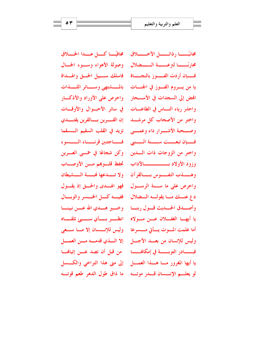مجافيًـــا كـــل عـــدا الخـــلاق وصولة الأهواء ويسوء الحسال ولا تــمدعها فمبــة الـــشيطان فهو الهسدي والحسق إذ يقسول ففيسه كسل الخسسر والوبسال إلا السذي قدمسه مسن العمسل إلى متى هذا التراخي والكــــسل

مجانبًــــــا رذائـــــــل الأخــــــــلاق محاربًـــــا لتزعـــــة الـــــضلال فسبان أردت الفسوز بالنجساة فاسلك سبيل الحسق والهلداة يا من يسروم الفسوز في الجنسات - بالمستشتهي وسسسائر اللسسذات الهض إلى السجدات في الأســحار ﴿ وَاحْرِصْ عَلَى الأَوْرَادِ وَالْأَذْكَــَـار واحذر رياء النساس في الطاعسات في سائر الأحسوال والأوقسات واختر ً من الأصحاب كل مرشــد - إن القـــرين بـــالقرين يقتـــدى وصعجة الأشعرار داء وعميه وتزيد في القلب السقيم المسقما فسان تبعست سسنة السنبي فساجتين قرنساء السسوء واختر من الزوجات ذات السدين – وكن شجاعًا في حمسى العسرين وزود الأولاد بستستنسسالآداب للمخفظ قلسوهم مسن الأوصلاب وهسسذب النفسسوس بسسالقوآن واحرص على ما سنة الرسيول دع عنسك مسا يقولسه السضلال وأصسدق الحسديث قسول ربنسا للوخسير هسدي الله عسن نبينسا يا أيهــا الغفـــلان عـــن مـــولاه للظــــو بــــأي ســــيئ تلقــــاه أما علمت المسوت يسأتي مسسرعا - وليس للإنسسان إلا مسا سسعى وليس للإنسان من بعسد الأجسل فبــــــــــادر التوبــــــــــة في إمكافـــــــــــا من قبل أن تصد عــــن إتيافـــــا يا أيها المغرور مسا هسذا العمسل لو يعليها الإنسسان قبل موتيه ما ذاق طول الدهر طعم قوتيه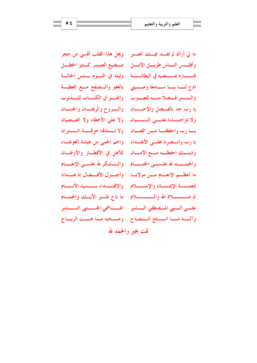ما لي أراك لم تفسد فيسك العسير \_ ويحل هذا القلب أقسى من حجر وأفلسس النساس طويسل الأمسل مسضيع العمسر كسثير الخطسل فمــــــاره يمـــــــضيه في البطالـــــــة وليله في النـــوم بــــئس الحالـــة ادع لنسا يسا سسامعًا وصسيتي بالعفو والسصفح مسع العطيسة والسستر فسضلاً منسه للعيسوب والمحسو في الكتساب للسذنوب يا رب جد بالفهنل والإحسسان والسروح والريحسان والجنسان ولا تؤاخسيةنا عليهي النسسيان ولا على الأخطاء ولا العسصيان يسا رب واحفظنسا مسن الفتسان ولا تسسذقنا حرقسسة السسنيران يا رب وانسصرنا علسي الأعسداء - واحم الحمي من هيشة الغوغساء ودينـــك احفظـــه مــــع الأمــــان للأهل في الأقطـــار والأوطـــان والحمسسد لله عليسيي الختسسام – والسسشكر لله عليسي الإنعسيام ما أعظهم الإنعسام مسن مولانسا وأجسزل الأفسضال إذ هسدانا لنعمسسة الإيمسسان والإسسسلام ووالاقتسسداء بسمسيد الأنسسام علسى السنبي المسصطفى البسشير مالفسساشي الجسستبي النسسذير وآلسه مسا انسبلج السصباح وصحبه مساهبت الريساح تمت بخير والحمد لله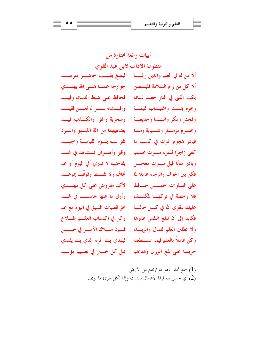أبيات رائعة مختارة من منظومة الآداب لابن عبد القوى ألا من له في العلم والدين رغبة ليصغ بقلب حاضي مترصيد ألا كل من رام السلامة فليــــصن \_ جوارحه عمــــا فمـــى الله يهتــــدي يكب الفتى في النار حصد لسانه للفحافظ على ضبط اللسان وقيسد ويحرم بمست واغتيساب نميمسة وإفسشاء سسرثم لعسن فقيسد وفحش ومكر والبسذا وخديعسة وسخرية والهزأ والكسذب قيسد ويحسرم مزمسار وشسبابة ومسا للمضيهها من آلة اللسهو والسرد فبادر هجوم الموت في كسب ما للفز بسه يسوم القيامسة واجهسد كفي زاجرًا للمرء مسوت محستم – وقبر وأهسوال تسشاهد في غسد وبادر متابًا قبل مسوت معجسل ليفاجئك لا تدرى أفي اليوم أو غد تخاف ولا تقسنط وقوفَسا بموعسد فكن بين الخوف والرجاء عاملا لما لآكد مفروض على كل مهتب على الصلوات الخمسس حسافظ وأول ما عنها يحاسسب في غسد فلا , خصة في تركهـــا لمكلــف عليك بتقوى الله في كـــل حالــــة للمحّـز قصبات السبق في اليوم مع غد فكابد إلى أن تبلغ النفس عذرها وكن في اكتساب العلم طلاع فسإن مسلاك الأمسر في حسسن ولا تطلبن العلم للمال والريساء ليهدى بك المرء الذي بك يقتدى وكن عاملاً بالعلم فيما استطعته تنل كل خمسير في نعسيم مؤبسة حريصا على نفع الورى وهداهم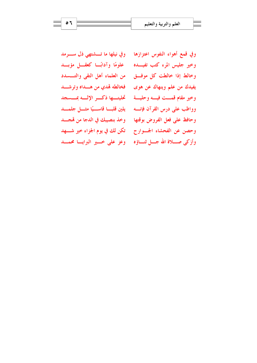وفي قمع أهواء النفوس اعتزازها وفي نيلها ما تـــشتهي ذل ســــرمد علومًا وآدابًـا كعقـــل مؤبـــد وخالط إذا خالطت كل موفَّــق من العلماء أهل التقى والتـــسدد يفيدك من علم وينهاك عن هوى فخالطه تهدي من هـمداه وترشــمد وخير مقام قمست فيسه وحليسة للمحليتها ذكسر الإلسه بمسسجد وواظب على درس القرآن فإنسه للين قلبا قاسيًا مثمل جلمسد وحافظ على فعل الفروض بوقتها وخذ بنصيبك في الدجا من مَّجــد وحصن عن الفحشاء الجسوارح للكن لك في يوم الجزاء خير شــهد

وخير جليس المرء كتب تفيسده وأزكى صـــلاة الله جـــل ثنـــاؤه \_ وعز على خـــير البرايـــا محمــــد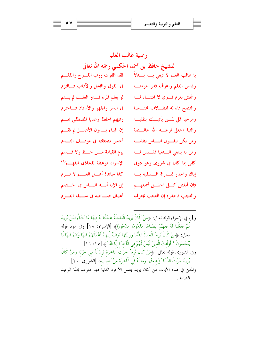وصية طالب العلم للشيخ حافظ بن أحمد الحكمي رحمه الله تعالى يا طالب العلم لا تبغي بـــه بــــدلاً ۖ فقد ظفرت ورب اللــــوح والقلــــم وقدس العلم وأعرف قدر حرمتهم في القول والفعل والآداب فسالتزم لو يعلم المرء قليدر العلسم لم يستم وافحض بعزم قسوى لا انثنساء لسه في السر والجهر والأستاذ فساحترم والنصح فابذله للطبلاب محتسسبا وفيهم احفظ وصايا المصطفى هسم ومرحبا قل لمسن يأتيسك بطلبسه والنية اجعل لوجسه الله حالبيصة إن البناء بسدون الأصل لم يقسم أخسر بصفقته في موقـف النــدم ومن يكن ليقسول النساس يطلبسه يوم القيامة مسن حسظ ولا قسسم ومن به يبتغي السدنيا فلسيس لسه الإسراء موعظة للحاذق الفهم (١) کفي بما کان في شوري وهو دوفي كذا مباهاة أهسل العلسم لا تسرم إياك واحذر ممساراة المسفيه بسه فإن أبغض كـــل الخلــــق أجمعهــــم إلى الإله ألسد النساس في الخسصم أعمال صاحبه في سيله العبرم والعجب فاحذره إن العجب مجترف

(1) في الإسراء قوله تعالى: ﴿مَنْ كَانَ يُرِيدُ الْعَاجِلَةَ عَجَّلْنَا لَهُ فِيهَا مَا نَشَاءُ لِمَنْ نُرِيدُ نُمَّ حَعَلْنَا لَهُ حَهَنَّمَ يَصْلَاهَا مَذْمُومًا مَدْحُورًاَ﴾ [الإسراء: ١٨] وفي هود قوله تعالى: ﴿مَنْ كَانَ يُرِيدُ الْحَيَاةَ الدُّنْيَا وَزِينَتَهَا نُوَفٍّ إِلَيْهِمْ أَعْمَالَهُمْ فِيهَا وَهُمْ فيهَا لَا يُبْحَسُونَ \* أُولَئكَ الَّذينَ لَيْسَ لَهُمْ في الْآخرَة إلَّا النَّارُ﴾ [١٥، ١٦]. وفي الشورى قوله َتعالى: ﴿مَنْ كَانَ يُرِيدُ حَرْثَ الْآخرَة نَزِدْ لَهُ فِي حَرْثِه وَمَنْ كَانَ يُرِيدُ حَرْثَ الدُّنْيَا نُؤْته منْهَا وَمَا لَهُ فَي الْآخرَة منْ نَصِيبُ﴾ [الشورى: ٢٠ ]. والمعيِّ في هذه الآيات مَنْ كان يريدَ بعملَ الآخرة الدنياَ فهو متوعد بمذا الوعيد الشدىد.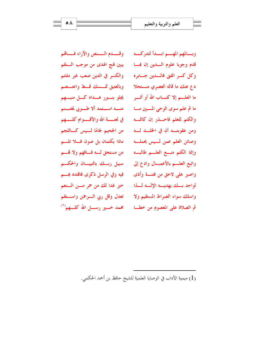وقسمام السمنص والآراء فسماقم يبين هُج الهدى من موجب السنقم والكسر في الدين صعب غير ملتئم وبالعتيق تمسسك قسط واعتسصم يجلو بنسور هسداه كسل منبسهم منسه استحدا ألا طسوبي لمغتسنم في لعنــــــة الله والأقــــــوام كلـــــــهم من الجحيم لجامًا لسيس كساللجم ماذا بكتمان بل صون فلا تله من مستحق لــه فــافهم ولا قمــم سبيل ربسك بالتبيسان والحكسم فيه وفي الرسل ذكرى فاقتده بمسم خير غدا لك من حمر مسن السنعم تعدل وقل ربي السرحمن واستقم محمد خسیر رســــل الله کلــــهم<sup>(۱</sup>)

وبسالمهم المهسم ابسدأ لتدركسه قدم وجوبا علوم السدين إن هسا وكل كسر الفتى فالسدين جسابره دع عنك ما قاله العصري منستحلا ما العلــــم إلا كتــــاب الله أو أثــــر ما ثم علم سوى الوحى المسبين مسا والكتم للعلم فاحسذر إن كاتمسه ومن عقوبتــه أن في الخلــــد لــــه وصائن العلم عمن لــيس يحملــه وإنما الكتم منسع العلسم طالبسه واتبع العلسم بالأعمسال وادع إلى واصبر على لاحق من فتنسة وأذى لواحد بسك يهديسه الإلسه لسذا واسلك سواء الصراط المستقيم ولا ثم الصلاة على المصوم من خطسا

(1) ميمية الآداب في الوصايا العلمية للشيخ حافظ بن أحمد الحكمي.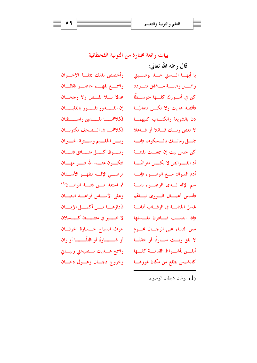$09$ 

بيات رائعة مختارة من النونية القحطانية

وأخصص بذلك جملسة الإخسوان واسمه بفههم حاضب يقظنان عدلا بسلا نقسص ولا رجحسان إن القـــدور تفــور بالغليـــان فكلاهمسا للسسدين واستسطتان فكلاهمها في المسصحف مكتوبان زيسن الحلسيم وسسترة الحسيران وتسسوق كسسل منسسافق فتسسان فتكبون عنسيد الله شيسو مهسيان م ضب الإليه مطهير الأسبنان خم استعذ مسن فتنسة الولهسان<sup>(١)</sup> وعلى الأسساس قواعسد البنيسان فأداؤهــــا مــــن أكمــــل الإيمــــان لا خمسير في متشمسبط كمسللان حرث السباخ خسسارة الحرثسان أو شـــــــاربًا أو ظللًـــــــا أو زان واسمع هسليت نسصيحتى وبيساني وخروج دجسال وهسول دخسان

قال , حمه الله تعالى: يا أيهــا الــسنى خــذ بوصــيتى واقبسل وصسية مسشفق متسودد كن في أمسورك كلسها متوسسطًا فأقصد هديت ولا تكسن متغاليًسا دن بالشريعة والكتـــاب كليهمـــا لا تعص ريسك قسائلا أو فساعلا جمسل زمانسك بالمسكوت فإنسه كن حلس بيت إن سمعـــت بفتنـــة أدم السواك مسع الوضيوء فإنسه سم الإله لسدى الوضيوء بنيسة فأساس أعمسال السورى نيساقم غسل الجنابسة في الرقساب أمانسة فإذا ابتليـــت فبـــادرن بغــــسلها مس النساء على الرجسال محسوم لا تلق ربسك سسارقًا أو خائنًسـا أيقــــن بأشـــــواط القيامــــة كلــــها كالشمس تطلع من مكان غروهســا

الولهان شيطان الوضوء) (1)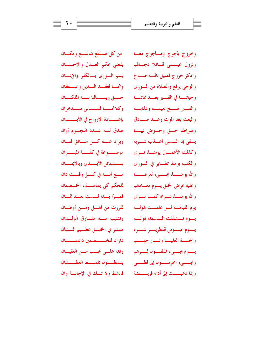من كل صــــقع شاســــع ومكــــان ونزول عيسسي قساتلا دجسالهم ويقضي بحكم العسدل والإحسسان يسم السورى بسالكفر والإيمسان وهمسا لعقسد السدين واستقطان حسق ويسسألنا بسمه الملكسان وكلاهمسا للنسماس مسمدحران بإعـــــــادة الأرواح في الأبــــــــدان صدق له عبدد النجسوم أوان ويزاد عنه كل منافق فتان موضـــوعة في كفـــة الميــــزان بسسشمائل الأيسسدي وبالأيمسسان مسع أنسه في كسل وقست دان للحكم كى يتناصــف الخــصمان قمسرًا بسدا لمست بعسد غمسان لفررت من أهـــل ومـــن أوطـــان وتشيب منسه مفسارق الولسدان منتشر في الخلسق عظسيم السشأن داران للخــــــصمين دائمتـــــان وفدا علــي نجــب مـــن العقيـــان يتلمظــون تلمــط العطـــشان فانشط ولا تسك في الإجابة وان

وخروج يأجوج ومسأجوج معسا واذكر خروج فصيل ناقسة صسالح والوحي يرفع والصلاة من السوري وحياتنـــــا في القـــــــبر بعــــــد مماتنـــــا والقسبر صسح نعيمسه وعذابسه والبعث بعد الموت وعسد صسادق وصراطنا حسق وحسوض نبينسا يسقى ها الـــسنى أعــــذب شــــربة وكذلك الأعمسال يومئسذ تسرى والكتب يومئذ تطــاير في الــورى وعليه عرض الخلق يسوم معسادهم والله يومئسـذ نسـراه كمسـا نسـري يوم القيامــــة لــــو علمــــت بمولــــه يسوم تسشققت السسماء لهولسه يسموم عبسموس قمطريسسر شسسره والجنسة العليسا ونسار جهسنم يسموم يجسميء المتقسمون لسسرهم ويجـــــيء المجرمـــــــون إلى لظــــــي وإذا دعيــــت إلى أداء فريـــــضة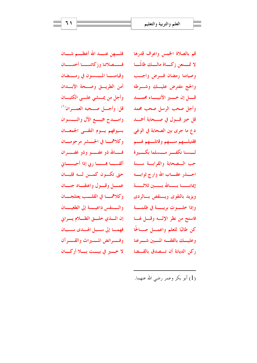فلــــهن عنــــد الله أعظــــم شــــان فسسصلاتنا وزكاتنسسا أختسسان وقيامنــــا المـــــسنون في رمـــــضان أمن الطريسق وصسحة الأبسدان وأجل من يمسشي علسي الكثبان قل: وأجسل صنحبه العمسران<sup>(١)</sup> وامسدح جميسع الآل والتسسوان بسيوفهم يسوم التقسى الجمعسان وكلاهمسا في الحسشر مرحومسان فسالله ذو عفسسو وذو غفسسران ألقـــــــا هـــــــــا ربي إذا أحيـــــــابي حتى تكون كمسن له قلبان عمسل وقسول واعتقساد جنسان وكلاهمسا في القلسب يعتلجسان والسنفس داعيسة إلى الطغيسان إن السذي خلسق الظللام يسراني فهما إلى سبل الهلدى سببان وفسيرائض المسسيراث والقسسرآن لا خسير في بيست بسلا أركسان

قم بالصلاة الخمس واعرف قدرها لا تمسنعن زكساة مالسك ظالمًسا وصيامنا رمضان فسرض واجسب والحج مفترض عليسك وشسرطه قسل إن خسير الأنبيساء محمسد وأجل صحب الرسل صحب محمد قل خير قسـول في صـــــحابة أحمــــد د ع ما جرى بين الصحابة في الوغي فقتيلــــهم منـــــهم وقاتلــــهم لهـــــم لسسنا نكفسر مسسلما بكسبيرة حب السصحابة والقرابسة سسنة ويزيد بالتقوى ويسنقص بسالودى وإذا خلـــــوت بريبـــــة في ظلمـــــة فاستح من نظر الإلسه وقسل لهسا كن طالبًا للعلم واعمـــل صـــالحًا وعليسك بالفقسه المسبين شسرعنا ركن الديانة أن تـــصدق بالقـــضا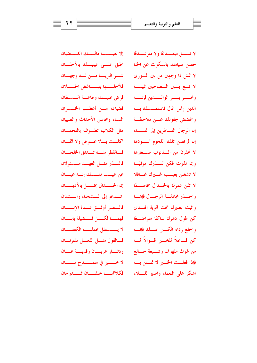إلا بعبسسة مالسلك الغسضبان اطبق علسى عينيسك بالأجفسان شب البريسة مسن لسه وجهسان فلأجلسها يتبساغض الخسلان فرض عليلك وطاعة المسلطان فضياعه مسن أعظم الخسسران النساء ومحاسن الأحداث والصبيان مثل الكلاب تطوف باللحمسان أكلست بسلا عسوض ولا أثمسان فالقطر منسه تسدفق الخلجسان فالنسذر مثيل العهسد مسسئولان عن عيسب نفسسك إنسه عيبسان إن الجــــــدال يخــــــل بالأديـــــــان تسلكو إلى المسشحناء والمسشنآن فالسصبر أوثسق عسدة الإنسسان فهمسا لكسل فسضيلة بابسان لا يــــــستقل بحملــــــــه الكفتـــــــان فسالقول مثسل الفعسل مقترنسان ودثسار عريسان وفديسة عسان لا خـــــــير في متمــــــــــدح منــــــــان

فكلاهمسا حلقسان ممسدوحان

لا تلـــــق مبتـــــدعًا ولا متزنـــــدقا حصن صيامك بالسكوت عن الخنا لا تمش ذا وجهين من بين السوري لا تسع بـــين الـــصاحبين غيمـــة وتحسسو بسسو الوالسسدين فإنسسه الدين رأس المال فاستمـــسك بـــه واغضض جفونك عسن ملاحظة إن الرجال النـــاظرين إلى النـــساء إن لم تصن تلك اللحوم أسـودها لا تحقرن من السذنوب صـــغارها وإن نذرت فكن لنسذرك موفيًـا لا تشغلن بعيسب غسيرك غسافلا لا تفن عمرك بالجسدال مخاصـــمًا واحسذر مجادلسة الرجسال فإفمسا واثبت بصبرك تحت ألوية الهسدى كن طول دهرك ساكتًا متواضـــعًا واخلع رداء الكسبر عنسك فإنسه كن فساعلاً للخسير قسوالاً لسه من غوث ملهوف وشــبعة جــائع فإذا فعلــت الخـــير لا تمـــنن بـــه اشكر على النعماء واصبر للسبلاء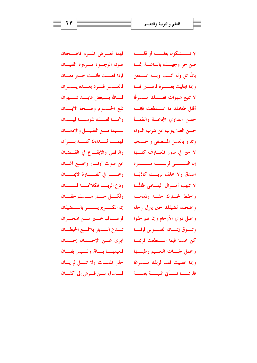فهما لعسرض المسرء فاضعصتان صون الوجسوه مسرءوة الفتيسان فإذا فعلست فأنست خسير معسان فالعسسي فسيرد بعسيده يستسرأن فسالله يستبغض عابست شست هوان نفع الجسسوم وصححة الأبسدان وهمسا لفسك نفوسسنا قيسدان سهما مسع التقليسل والإدمسان فهمسا لسداءك كلسسه بسبرآن والرقص والإيقــاع في القـــضبان عن صوت أوتسار وسمسع أغسان وتحــــــــــر في كفــــــــــان الأيمـــــــــان ودع الربسا فكلاهمسا فسسقان ولكسل جسار مسسلم حقسان إن الكسريم يسسر بالسفيفان فوصــالهم خـــير مـــن الهجـــران تسدع السديار بلاقسع الحيطسان تجزى عسن الإحسسان إحسسان فنعيمهــــا بــــاق ولــــيس بفــــان

حذر الممسات ولا تقسل لم يسأن

فتسساق مسن فسوش إلى أكفسان

لا تـــــشكون بعلــــــة أو قلــــــة صن حر وجهسك بالقناعسة إنمسا بالله ثق وله أنسب وبسه استحن وإذا ابتليت بعسسرة فاصب لهسا لا تتبع شهوات نفـــسك مـــسرفًا أقلل طعامك ما استقطعت فإنسه حصن التداوي المجاعسة والظمسأ حسن الغذا ينوب عن شرب الدواء وتداو بالعسل المسفى واحستجم لا خير في صور المعسازف كلسها إن التقــــــــى لربــــــــه مــــــــتـــتره اصدق ولا تحلف بربسك كاذبًــا لا تنهب أمــوال اليتـــامي ظالمـــا واحفظ لجسارك حقسه وذمامسه واضحك لضيفك حين يتزل رحله واصل ذوي الأرحام وإن هم جفوا وتسوق إيمسان الغمسوس فإفمسا كن محسنا فيما اســتطعت فربمـــا واعمل لجنسات النعسيم وطيبسها وإذا عصيت فتب لربك مسسرعًا فلربمــــــا تـــــــأتى المنيـــــــة بغتــــــة

 $77$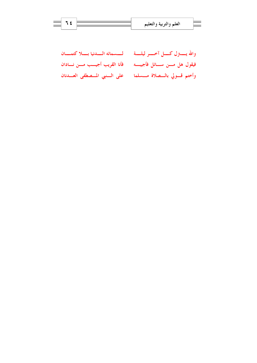| لمسمائه السدنيا بسلا كتمسان  | والله يستزل كسل آخسر ليلسة       |
|------------------------------|----------------------------------|
| فأنا القريب أجيسب مسن نسادان | فيقول هل مـــن ســـائل فأجيبـــه |
| على السنبي المسصطفى العسدنان | وأختم قسولي بالسصلاة مسسلما      |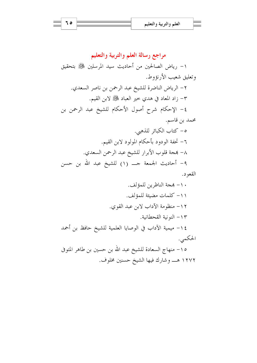مراجع رسالة العلم والتربية والتعليم ١- رياض الصالحين من أحاديث سيد المرسلين ﷺ بتحقيق وتعليق شعيب الأرنؤوط. ٢- الرياض الناضرة للشيخ عبد الرحمن بن ناصر السعدي. ٣– زاد المعاد في هدي خير العباد ﷺ لابن القيم. ٤- الإحكام شرح أصول الأحكام للشيخ عبد الرحمن بن محمد بن قاسم. ٥- كتاب الكبائر للذهبي. ٦– تحفة الودود بأحكام المولود لابن القيم. ٨– بمجة قلوب الأبرار للشيخ عبد الرحمن السعدي. ٩- أحاديث الجمعة حـــ (١) للشيخ عبد الله بن حسن القعود.